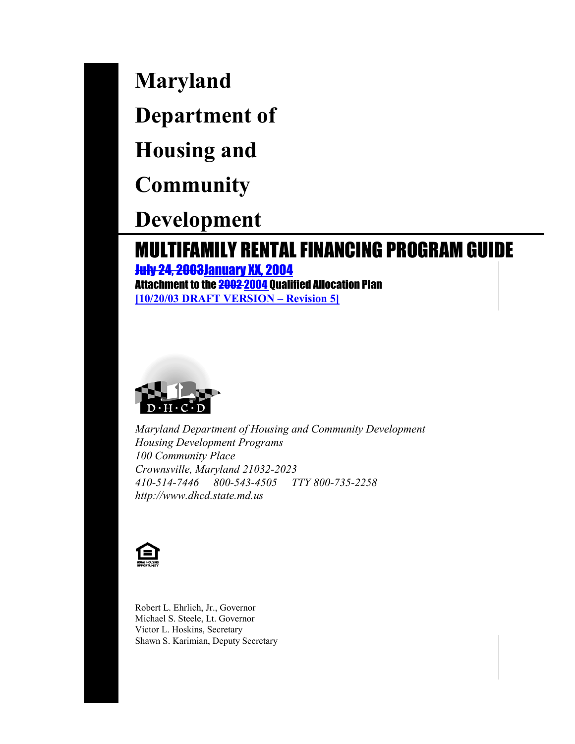**Maryland**

**Department of**

**Housing and**

**Community**

**Development**

# MULTIFAMILY RENTAL FINANCING PROGRAM GUIDE

July 24, 2003January XX, 2004 Attachment to the 2002 2004 Qualified Allocation Plan **[10/20/03 DRAFT VERSION – Revision 5]**



*Maryland Department of Housing and Community Development Housing Development Programs 100 Community Place Crownsville, Maryland 21032-2023 410-514-7446 800-543-4505 TTY 800-735-2258 http://www.dhcd.state.md.us*



Robert L. Ehrlich, Jr., Governor Michael S. Steele, Lt. Governor Victor L. Hoskins, Secretary Shawn S. Karimian, Deputy Secretary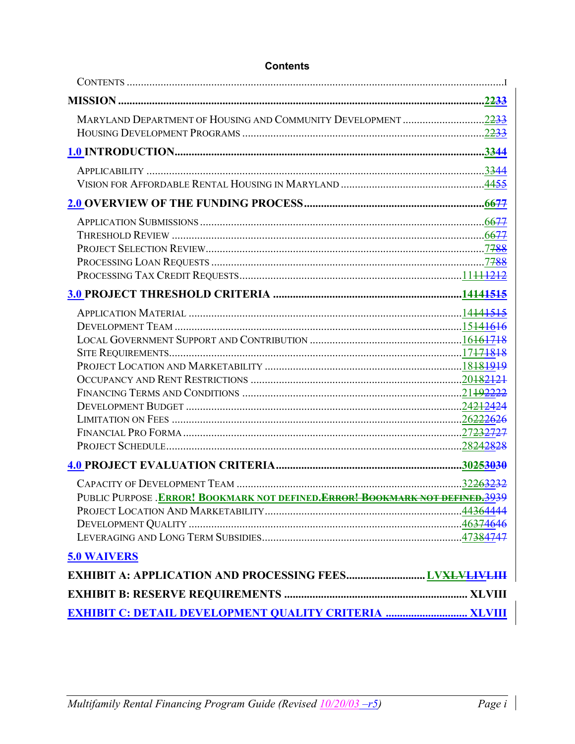| MARYLAND DEPARTMENT OF HOUSING AND COMMUNITY DEVELOPMENT 2233                            |  |
|------------------------------------------------------------------------------------------|--|
|                                                                                          |  |
|                                                                                          |  |
|                                                                                          |  |
|                                                                                          |  |
|                                                                                          |  |
|                                                                                          |  |
|                                                                                          |  |
|                                                                                          |  |
|                                                                                          |  |
|                                                                                          |  |
|                                                                                          |  |
|                                                                                          |  |
|                                                                                          |  |
|                                                                                          |  |
|                                                                                          |  |
|                                                                                          |  |
|                                                                                          |  |
|                                                                                          |  |
|                                                                                          |  |
|                                                                                          |  |
|                                                                                          |  |
|                                                                                          |  |
|                                                                                          |  |
|                                                                                          |  |
| PUBLIC PURPOSE .ERROR! BOOKMARK NOT DEFINED. <del>ERROR! BOOKMARK NOT DEFINED.3939</del> |  |
|                                                                                          |  |
|                                                                                          |  |
|                                                                                          |  |
| <b>5.0 WAIVERS</b>                                                                       |  |
|                                                                                          |  |
|                                                                                          |  |
|                                                                                          |  |

### **Contents**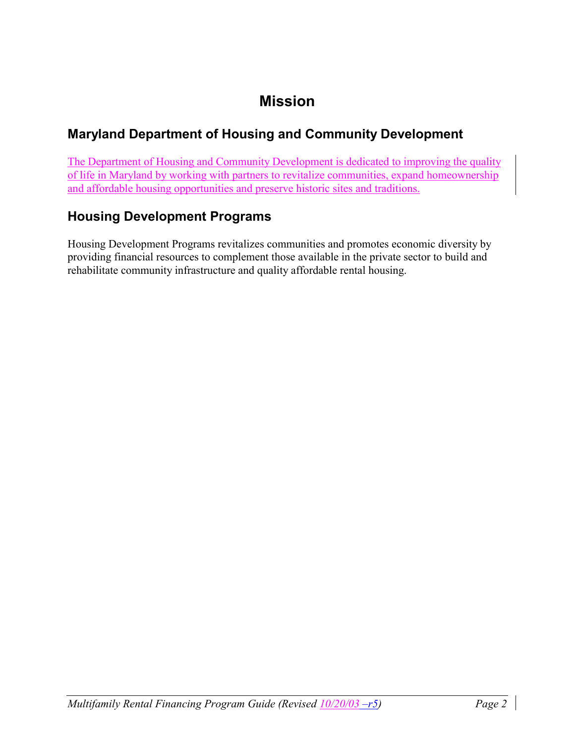# **Mission**

## **Maryland Department of Housing and Community Development**

The Department of Housing and Community Development is dedicated to improving the quality of life in Maryland by working with partners to revitalize communities, expand homeownership and affordable housing opportunities and preserve historic sites and traditions.

## **Housing Development Programs**

Housing Development Programs revitalizes communities and promotes economic diversity by providing financial resources to complement those available in the private sector to build and rehabilitate community infrastructure and quality affordable rental housing.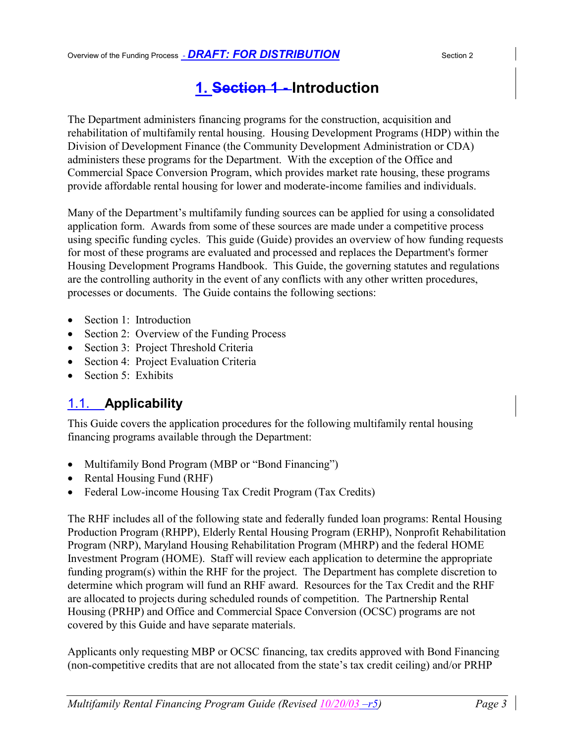## **1. Section 1 - Introduction**

The Department administers financing programs for the construction, acquisition and rehabilitation of multifamily rental housing. Housing Development Programs (HDP) within the Division of Development Finance (the Community Development Administration or CDA) administers these programs for the Department. With the exception of the Office and Commercial Space Conversion Program, which provides market rate housing, these programs provide affordable rental housing for lower and moderate-income families and individuals.

Many of the Department's multifamily funding sources can be applied for using a consolidated application form. Awards from some of these sources are made under a competitive process using specific funding cycles. This guide (Guide) provides an overview of how funding requests for most of these programs are evaluated and processed and replaces the Department's former Housing Development Programs Handbook. This Guide, the governing statutes and regulations are the controlling authority in the event of any conflicts with any other written procedures, processes or documents. The Guide contains the following sections:

- Section 1: Introduction
- Section 2: Overview of the Funding Process
- Section 3: Project Threshold Criteria
- Section 4: Project Evaluation Criteria
- Section 5: Exhibits

## 1.1. **Applicability**

This Guide covers the application procedures for the following multifamily rental housing financing programs available through the Department:

- Multifamily Bond Program (MBP or "Bond Financing")
- Rental Housing Fund (RHF)
- Federal Low-income Housing Tax Credit Program (Tax Credits)

The RHF includes all of the following state and federally funded loan programs: Rental Housing Production Program (RHPP), Elderly Rental Housing Program (ERHP), Nonprofit Rehabilitation Program (NRP), Maryland Housing Rehabilitation Program (MHRP) and the federal HOME Investment Program (HOME). Staff will review each application to determine the appropriate funding program(s) within the RHF for the project. The Department has complete discretion to determine which program will fund an RHF award. Resources for the Tax Credit and the RHF are allocated to projects during scheduled rounds of competition. The Partnership Rental Housing (PRHP) and Office and Commercial Space Conversion (OCSC) programs are not covered by this Guide and have separate materials.

Applicants only requesting MBP or OCSC financing, tax credits approved with Bond Financing (non-competitive credits that are not allocated from the state's tax credit ceiling) and/or PRHP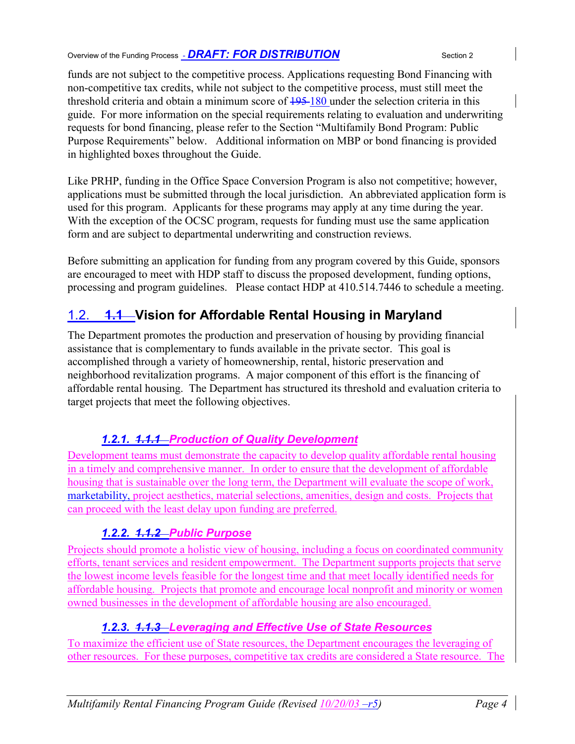Overview of the Funding Process - *DRAFT: FOR DISTRIBUTION* Section 2

funds are not subject to the competitive process. Applications requesting Bond Financing with non-competitive tax credits, while not subject to the competitive process, must still meet the threshold criteria and obtain a minimum score of  $\frac{195-180}{2}$  under the selection criteria in this guide. For more information on the special requirements relating to evaluation and underwriting requests for bond financing, please refer to the Section "Multifamily Bond Program: Public Purpose Requirements" below. Additional information on MBP or bond financing is provided in highlighted boxes throughout the Guide.

Like PRHP, funding in the Office Space Conversion Program is also not competitive; however, applications must be submitted through the local jurisdiction. An abbreviated application form is used for this program. Applicants for these programs may apply at any time during the year. With the exception of the OCSC program, requests for funding must use the same application form and are subject to departmental underwriting and construction reviews.

Before submitting an application for funding from any program covered by this Guide, sponsors are encouraged to meet with HDP staff to discuss the proposed development, funding options, processing and program guidelines. Please contact HDP at 410.514.7446 to schedule a meeting.

## 1.2. **1.1 Vision for Affordable Rental Housing in Maryland**

The Department promotes the production and preservation of housing by providing financial assistance that is complementary to funds available in the private sector. This goal is accomplished through a variety of homeownership, rental, historic preservation and neighborhood revitalization programs. A major component of this effort is the financing of affordable rental housing. The Department has structured its threshold and evaluation criteria to target projects that meet the following objectives.

### *1.2.1. 1.1.1 Production of Quality Development*

Development teams must demonstrate the capacity to develop quality affordable rental housing in a timely and comprehensive manner. In order to ensure that the development of affordable housing that is sustainable over the long term, the Department will evaluate the scope of work, marketability, project aesthetics, material selections, amenities, design and costs. Projects that can proceed with the least delay upon funding are preferred.

### *1.2.2. 1.1.2 Public Purpose*

Projects should promote a holistic view of housing, including a focus on coordinated community efforts, tenant services and resident empowerment. The Department supports projects that serve the lowest income levels feasible for the longest time and that meet locally identified needs for affordable housing. Projects that promote and encourage local nonprofit and minority or women owned businesses in the development of affordable housing are also encouraged.

### *1.2.3. 1.1.3 Leveraging and Effective Use of State Resources*

To maximize the efficient use of State resources, the Department encourages the leveraging of other resources. For these purposes, competitive tax credits are considered a State resource. The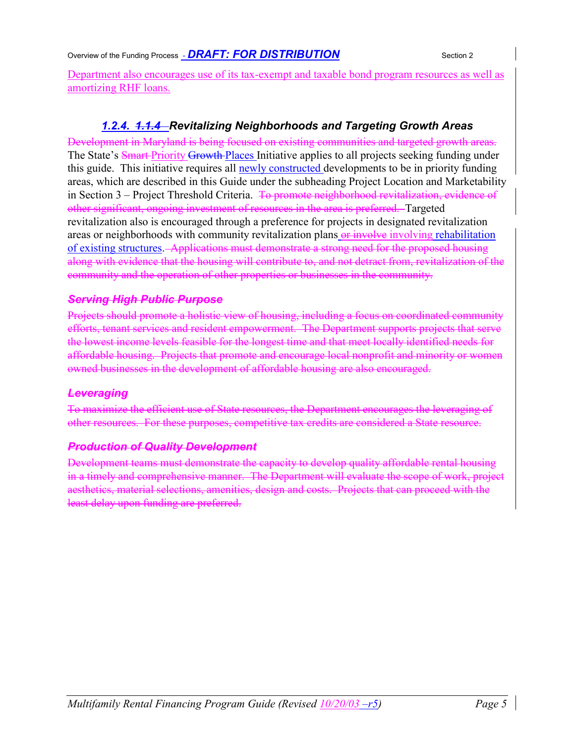Overview of the Funding Process - *DRAFT: FOR DISTRIBUTION* Section 2

Department also encourages use of its tax-exempt and taxable bond program resources as well as amortizing RHF loans.

### *1.2.4. 1.1.4 Revitalizing Neighborhoods and Targeting Growth Areas*

Development in Maryland is being focused on existing communities and targeted growth areas. The State's Smart-Priority Growth-Places Initiative applies to all projects seeking funding under this guide. This initiative requires all newly constructed developments to be in priority funding areas, which are described in this Guide under the subheading Project Location and Marketability in Section 3 – Project Threshold Criteria. <del>To promote neighborhood revitalization, evidence of</del> other significant, ongoing investment of resources in the area is preferred. Targeted revitalization also is encouraged through a preference for projects in designated revitalization areas or neighborhoods with community revitalization plans or involve involving rehabilitation of existing structures. Applications must demonstrate a strong need for the proposed housing along with evidence that the housing will contribute to, and not detract from, revitalization of the community and the operation of other properties or businesses in the community.

### *Serving High Public Purpose*

Projects should promote a holistic view of housing, including a focus on coordinated community efforts, tenant services and resident empowerment. The Department supports projects that serve the lowest income levels feasible for the longest time and that meet locally identified needs for affordable housing. Projects that promote and encourage local nonprofit and minority or women owned businesses in the development of affordable housing are also encouraged.

### *Leveraging*

To maximize the efficient use of State resources, the Department encourages the leveraging of other resources. For these purposes, competitive tax credits are considered a State resource.

### *Production of Quality Development*

Development teams must demonstrate the capacity to develop quality affordable rental housing in a timely and comprehensive manner. The Department will evaluate the scope of work, project aesthetics, material selections, amenities, design and costs. Projects that can proceed with the least delay upon funding are preferred.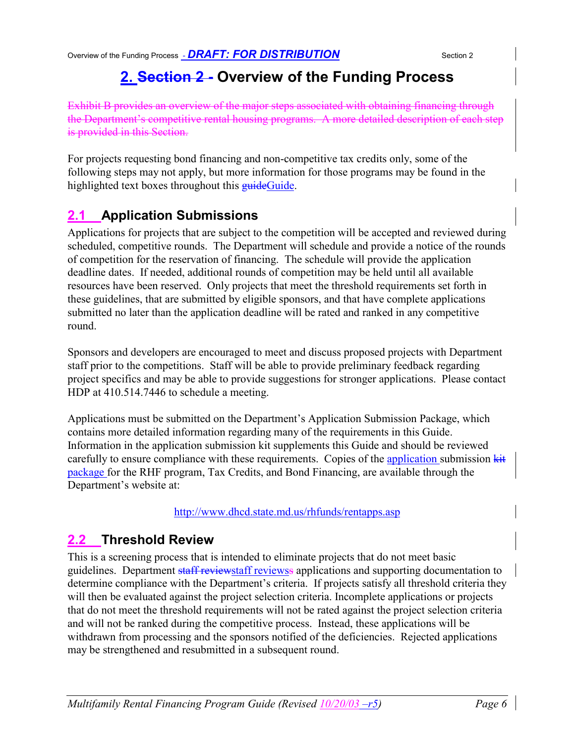# **2. Section 2 - Overview of the Funding Process**

Exhibit B provides an overview of the major steps associated with obtaining financing through the Department's competitive rental housing programs. A more detailed description of each step is provided in this Section.

For projects requesting bond financing and non-competitive tax credits only, some of the following steps may not apply, but more information for those programs may be found in the highlighted text boxes throughout this **guide**Guide.

## **2.1 Application Submissions**

Applications for projects that are subject to the competition will be accepted and reviewed during scheduled, competitive rounds. The Department will schedule and provide a notice of the rounds of competition for the reservation of financing. The schedule will provide the application deadline dates. If needed, additional rounds of competition may be held until all available resources have been reserved. Only projects that meet the threshold requirements set forth in these guidelines, that are submitted by eligible sponsors, and that have complete applications submitted no later than the application deadline will be rated and ranked in any competitive round.

Sponsors and developers are encouraged to meet and discuss proposed projects with Department staff prior to the competitions. Staff will be able to provide preliminary feedback regarding project specifics and may be able to provide suggestions for stronger applications. Please contact HDP at 410.514.7446 to schedule a meeting.

Applications must be submitted on the Department's Application Submission Package, which contains more detailed information regarding many of the requirements in this Guide. Information in the application submission kit supplements this Guide and should be reviewed carefully to ensure compliance with these requirements. Copies of the application submission kit package for the RHF program, Tax Credits, and Bond Financing, are available through the Department's website at:

http://www.dhcd.state.md.us/rhfunds/rentapps.asp

## **2.2 Threshold Review**

This is a screening process that is intended to eliminate projects that do not meet basic guidelines. Department staff reviewstaff reviewss applications and supporting documentation to determine compliance with the Department's criteria. If projects satisfy all threshold criteria they will then be evaluated against the project selection criteria. Incomplete applications or projects that do not meet the threshold requirements will not be rated against the project selection criteria and will not be ranked during the competitive process. Instead, these applications will be withdrawn from processing and the sponsors notified of the deficiencies. Rejected applications may be strengthened and resubmitted in a subsequent round.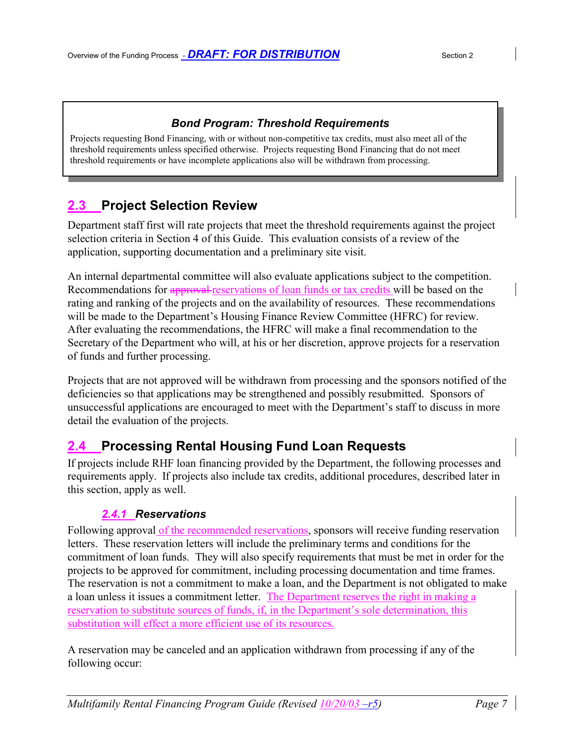#### *Bond Program: Threshold Requirements*

Projects requesting Bond Financing, with or without non-competitive tax credits, must also meet all of the threshold requirements unless specified otherwise. Projects requesting Bond Financing that do not meet threshold requirements or have incomplete applications also will be withdrawn from processing.

## **2.3 Project Selection Review**

Department staff first will rate projects that meet the threshold requirements against the project selection criteria in Section 4 of this Guide. This evaluation consists of a review of the application, supporting documentation and a preliminary site visit.

An internal departmental committee will also evaluate applications subject to the competition. Recommendations for approval reservations of loan funds or tax credits will be based on the rating and ranking of the projects and on the availability of resources. These recommendations will be made to the Department's Housing Finance Review Committee (HFRC) for review. After evaluating the recommendations, the HFRC will make a final recommendation to the Secretary of the Department who will, at his or her discretion, approve projects for a reservation of funds and further processing.

Projects that are not approved will be withdrawn from processing and the sponsors notified of the deficiencies so that applications may be strengthened and possibly resubmitted. Sponsors of unsuccessful applications are encouraged to meet with the Department's staff to discuss in more detail the evaluation of the projects.

## **2.4 Processing Rental Housing Fund Loan Requests**

If projects include RHF loan financing provided by the Department, the following processes and requirements apply. If projects also include tax credits, additional procedures, described later in this section, apply as well.

### *2.4.1 Reservations*

Following approval of the recommended reservations, sponsors will receive funding reservation letters. These reservation letters will include the preliminary terms and conditions for the commitment of loan funds. They will also specify requirements that must be met in order for the projects to be approved for commitment, including processing documentation and time frames. The reservation is not a commitment to make a loan, and the Department is not obligated to make a loan unless it issues a commitment letter. The Department reserves the right in making a reservation to substitute sources of funds, if, in the Department's sole determination, this substitution will effect a more efficient use of its resources.

A reservation may be canceled and an application withdrawn from processing if any of the following occur: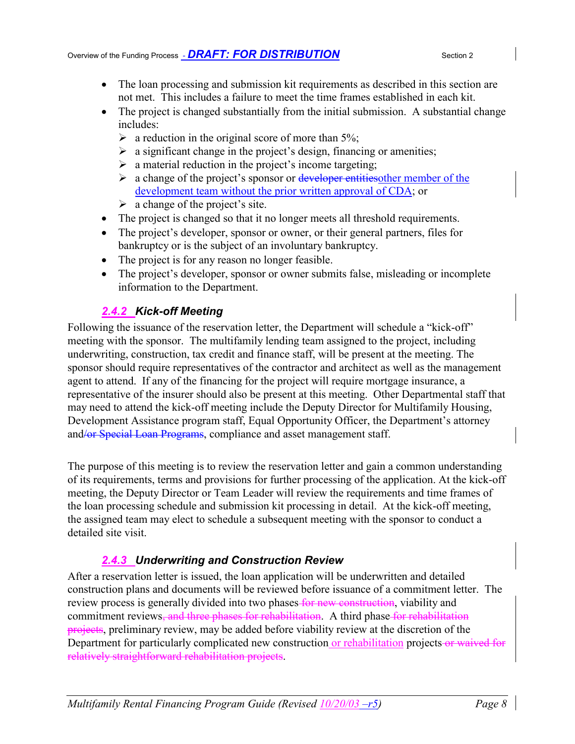- The loan processing and submission kit requirements as described in this section are not met. This includes a failure to meet the time frames established in each kit.
- The project is changed substantially from the initial submission. A substantial change includes:
	- $\triangleright$  a reduction in the original score of more than 5%;
	- $\triangleright$  a significant change in the project's design, financing or amenities;
	- $\triangleright$  a material reduction in the project's income targeting;
	- $\triangleright$  a change of the project's sponsor or developer entities the member of the development team without the prior written approval of CDA; or
	- $\triangleright$  a change of the project's site.
- The project is changed so that it no longer meets all threshold requirements.
- The project's developer, sponsor or owner, or their general partners, files for bankruptcy or is the subject of an involuntary bankruptcy.
- The project is for any reason no longer feasible.
- The project's developer, sponsor or owner submits false, misleading or incomplete information to the Department.

### *2.4.2 Kick-off Meeting*

Following the issuance of the reservation letter, the Department will schedule a "kick-off" meeting with the sponsor. The multifamily lending team assigned to the project, including underwriting, construction, tax credit and finance staff, will be present at the meeting. The sponsor should require representatives of the contractor and architect as well as the management agent to attend. If any of the financing for the project will require mortgage insurance, a representative of the insurer should also be present at this meeting. Other Departmental staff that may need to attend the kick-off meeting include the Deputy Director for Multifamily Housing, Development Assistance program staff, Equal Opportunity Officer, the Department's attorney and/or Special Loan Programs, compliance and asset management staff.

The purpose of this meeting is to review the reservation letter and gain a common understanding of its requirements, terms and provisions for further processing of the application. At the kick-off meeting, the Deputy Director or Team Leader will review the requirements and time frames of the loan processing schedule and submission kit processing in detail. At the kick-off meeting, the assigned team may elect to schedule a subsequent meeting with the sponsor to conduct a detailed site visit.

### *2.4.3 Underwriting and Construction Review*

After a reservation letter is issued, the loan application will be underwritten and detailed construction plans and documents will be reviewed before issuance of a commitment letter. The review process is generally divided into two phases for new construction, viability and commitment reviews, and three phases for rehabilitation. A third phase for rehabilitation projects, preliminary review, may be added before viability review at the discretion of the Department for particularly complicated new construction or rehabilitation projects-or waived for relatively straightforward rehabilitation projects.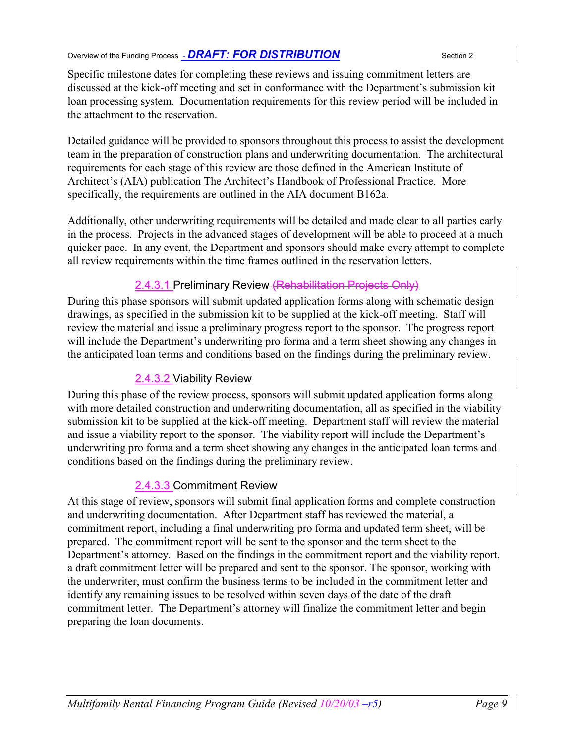Specific milestone dates for completing these reviews and issuing commitment letters are discussed at the kick-off meeting and set in conformance with the Department's submission kit loan processing system. Documentation requirements for this review period will be included in the attachment to the reservation.

Detailed guidance will be provided to sponsors throughout this process to assist the development team in the preparation of construction plans and underwriting documentation. The architectural requirements for each stage of this review are those defined in the American Institute of Architect's (AIA) publication The Architect's Handbook of Professional Practice. More specifically, the requirements are outlined in the AIA document B162a.

Additionally, other underwriting requirements will be detailed and made clear to all parties early in the process. Projects in the advanced stages of development will be able to proceed at a much quicker pace. In any event, the Department and sponsors should make every attempt to complete all review requirements within the time frames outlined in the reservation letters.

### 2.4.3.1 Preliminary Review (Rehabilitation Projects Only)

During this phase sponsors will submit updated application forms along with schematic design drawings, as specified in the submission kit to be supplied at the kick-off meeting. Staff will review the material and issue a preliminary progress report to the sponsor. The progress report will include the Department's underwriting pro forma and a term sheet showing any changes in the anticipated loan terms and conditions based on the findings during the preliminary review.

### 2.4.3.2 Viability Review

During this phase of the review process, sponsors will submit updated application forms along with more detailed construction and underwriting documentation, all as specified in the viability submission kit to be supplied at the kick-off meeting. Department staff will review the material and issue a viability report to the sponsor. The viability report will include the Department's underwriting pro forma and a term sheet showing any changes in the anticipated loan terms and conditions based on the findings during the preliminary review.

### 2.4.3.3 Commitment Review

At this stage of review, sponsors will submit final application forms and complete construction and underwriting documentation. After Department staff has reviewed the material, a commitment report, including a final underwriting pro forma and updated term sheet, will be prepared. The commitment report will be sent to the sponsor and the term sheet to the Department's attorney. Based on the findings in the commitment report and the viability report, a draft commitment letter will be prepared and sent to the sponsor. The sponsor, working with the underwriter, must confirm the business terms to be included in the commitment letter and identify any remaining issues to be resolved within seven days of the date of the draft commitment letter. The Department's attorney will finalize the commitment letter and begin preparing the loan documents.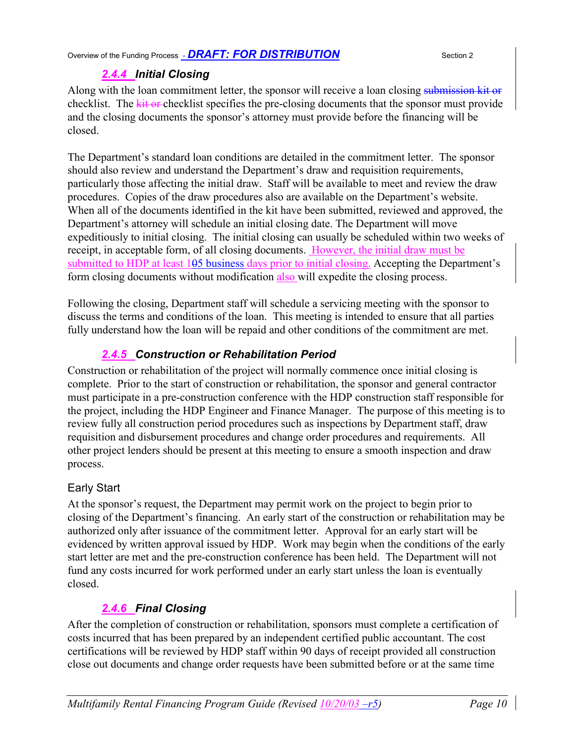Overview of the Funding Process - *DRAFT: FOR DISTRIBUTION* Section 2

### *2.4.4 Initial Closing*

Along with the loan commitment letter, the sponsor will receive a loan closing submission kit or checklist. The kit or checklist specifies the pre-closing documents that the sponsor must provide and the closing documents the sponsor's attorney must provide before the financing will be closed.

The Department's standard loan conditions are detailed in the commitment letter. The sponsor should also review and understand the Department's draw and requisition requirements, particularly those affecting the initial draw. Staff will be available to meet and review the draw procedures. Copies of the draw procedures also are available on the Department's website. When all of the documents identified in the kit have been submitted, reviewed and approved, the Department's attorney will schedule an initial closing date. The Department will move expeditiously to initial closing. The initial closing can usually be scheduled within two weeks of receipt, in acceptable form, of all closing documents. However, the initial draw must be submitted to HDP at least 105 business days prior to initial closing. Accepting the Department's form closing documents without modification also will expedite the closing process.

Following the closing, Department staff will schedule a servicing meeting with the sponsor to discuss the terms and conditions of the loan. This meeting is intended to ensure that all parties fully understand how the loan will be repaid and other conditions of the commitment are met.

### *2.4.5 Construction or Rehabilitation Period*

Construction or rehabilitation of the project will normally commence once initial closing is complete. Prior to the start of construction or rehabilitation, the sponsor and general contractor must participate in a pre-construction conference with the HDP construction staff responsible for the project, including the HDP Engineer and Finance Manager. The purpose of this meeting is to review fully all construction period procedures such as inspections by Department staff, draw requisition and disbursement procedures and change order procedures and requirements. All other project lenders should be present at this meeting to ensure a smooth inspection and draw process.

### Early Start

At the sponsor's request, the Department may permit work on the project to begin prior to closing of the Department's financing. An early start of the construction or rehabilitation may be authorized only after issuance of the commitment letter. Approval for an early start will be evidenced by written approval issued by HDP. Work may begin when the conditions of the early start letter are met and the pre-construction conference has been held. The Department will not fund any costs incurred for work performed under an early start unless the loan is eventually closed.

### *2.4.6 Final Closing*

After the completion of construction or rehabilitation, sponsors must complete a certification of costs incurred that has been prepared by an independent certified public accountant. The cost certifications will be reviewed by HDP staff within 90 days of receipt provided all construction close out documents and change order requests have been submitted before or at the same time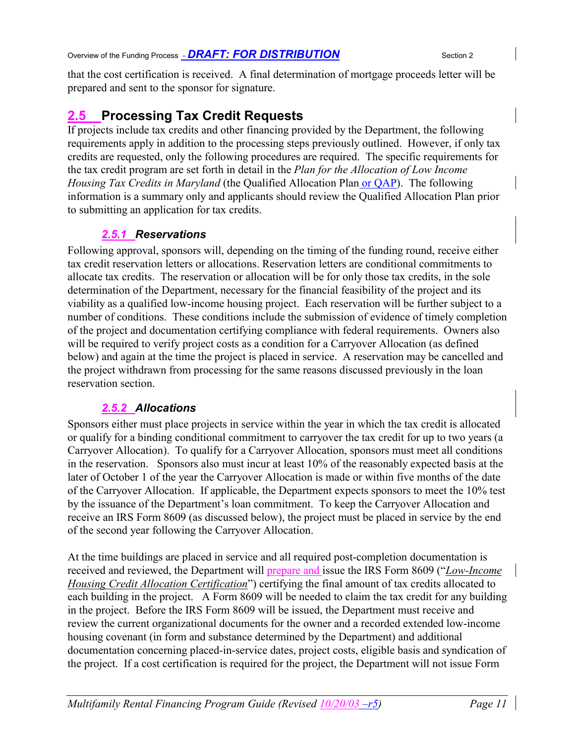that the cost certification is received. A final determination of mortgage proceeds letter will be prepared and sent to the sponsor for signature.

### **2.5 Processing Tax Credit Requests**

If projects include tax credits and other financing provided by the Department, the following requirements apply in addition to the processing steps previously outlined. However, if only tax credits are requested, only the following procedures are required. The specific requirements for the tax credit program are set forth in detail in the *Plan for the Allocation of Low Income Housing Tax Credits in Maryland* (the Qualified Allocation Plan or QAP). The following information is a summary only and applicants should review the Qualified Allocation Plan prior to submitting an application for tax credits.

### *2.5.1 Reservations*

Following approval, sponsors will, depending on the timing of the funding round, receive either tax credit reservation letters or allocations. Reservation letters are conditional commitments to allocate tax credits. The reservation or allocation will be for only those tax credits, in the sole determination of the Department, necessary for the financial feasibility of the project and its viability as a qualified low-income housing project. Each reservation will be further subject to a number of conditions. These conditions include the submission of evidence of timely completion of the project and documentation certifying compliance with federal requirements. Owners also will be required to verify project costs as a condition for a Carryover Allocation (as defined below) and again at the time the project is placed in service. A reservation may be cancelled and the project withdrawn from processing for the same reasons discussed previously in the loan reservation section.

### *2.5.2 Allocations*

Sponsors either must place projects in service within the year in which the tax credit is allocated or qualify for a binding conditional commitment to carryover the tax credit for up to two years (a Carryover Allocation). To qualify for a Carryover Allocation, sponsors must meet all conditions in the reservation. Sponsors also must incur at least 10% of the reasonably expected basis at the later of October 1 of the year the Carryover Allocation is made or within five months of the date of the Carryover Allocation. If applicable, the Department expects sponsors to meet the 10% test by the issuance of the Department's loan commitment. To keep the Carryover Allocation and receive an IRS Form 8609 (as discussed below), the project must be placed in service by the end of the second year following the Carryover Allocation.

At the time buildings are placed in service and all required post-completion documentation is received and reviewed, the Department will prepare and issue the IRS Form 8609 ("*Low-Income Housing Credit Allocation Certification*") certifying the final amount of tax credits allocated to each building in the project. A Form 8609 will be needed to claim the tax credit for any building in the project. Before the IRS Form 8609 will be issued, the Department must receive and review the current organizational documents for the owner and a recorded extended low-income housing covenant (in form and substance determined by the Department) and additional documentation concerning placed-in-service dates, project costs, eligible basis and syndication of the project. If a cost certification is required for the project, the Department will not issue Form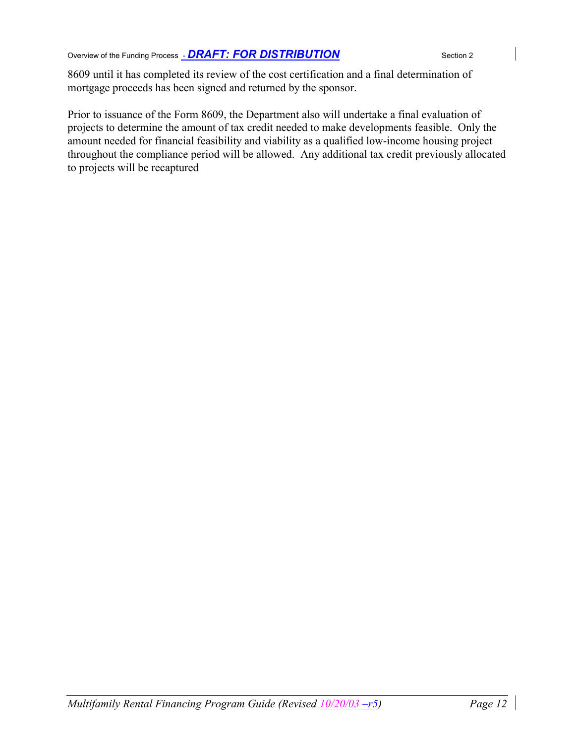Overview of the Funding Process **- DRAFT: FOR DISTRIBUTION** Section 2

8609 until it has completed its review of the cost certification and a final determination of mortgage proceeds has been signed and returned by the sponsor.

Prior to issuance of the Form 8609, the Department also will undertake a final evaluation of projects to determine the amount of tax credit needed to make developments feasible. Only the amount needed for financial feasibility and viability as a qualified low-income housing project throughout the compliance period will be allowed. Any additional tax credit previously allocated to projects will be recaptured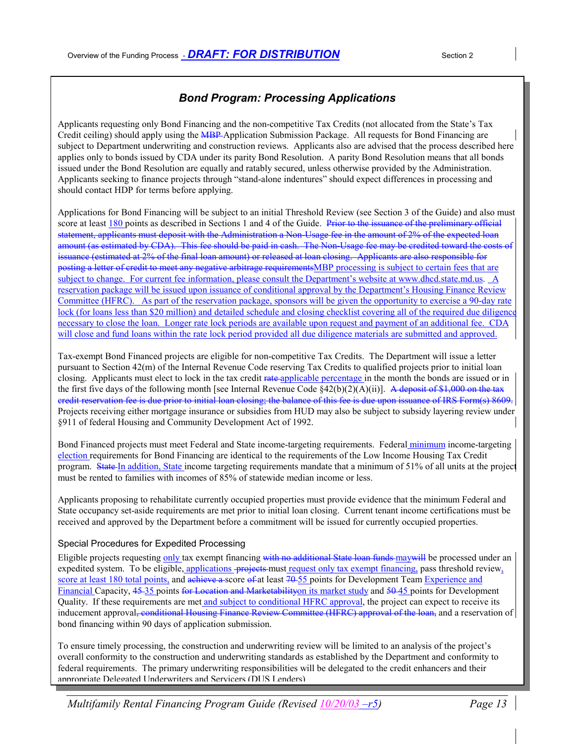#### *Bond Program: Processing Applications*

Applicants requesting only Bond Financing and the non-competitive Tax Credits (not allocated from the State's Tax Credit ceiling) should apply using the MBP Application Submission Package. All requests for Bond Financing are subject to Department underwriting and construction reviews. Applicants also are advised that the process described here applies only to bonds issued by CDA under its parity Bond Resolution. A parity Bond Resolution means that all bonds issued under the Bond Resolution are equally and ratably secured, unless otherwise provided by the Administration. Applicants seeking to finance projects through "stand-alone indentures" should expect differences in processing and should contact HDP for terms before applying.

Applications for Bond Financing will be subject to an initial Threshold Review (see Section 3 of the Guide) and also must score at least 180 points as described in Sections 1 and 4 of the Guide. Prior to the issuance of the preliminary official statement, applicants must deposit with the Administration a Non-Usage fee in the amount of 2% of the expected loan amount (as estimated by CDA). This fee should be paid in cash. The Non-Usage fee may be credited toward the costs of issuance (estimated at 2% of the final loan amount) or released at loan closing. Applicants are also responsible for posting a letter of credit to meet any negative arbitrage requirementsMBP processing is subject to certain fees that are subject to change. For current fee information, please consult the Department's website at www.dhcd.state.md.us. A reservation package will be issued upon issuance of conditional approval by the Department's Housing Finance Review Committee (HFRC). As part of the reservation package, sponsors will be given the opportunity to exercise a 90-day rate lock (for loans less than \$20 million) and detailed schedule and closing checklist covering all of the required due diligence necessary to close the loan. Longer rate lock periods are available upon request and payment of an additional fee. CDA will close and fund loans within the rate lock period provided all due diligence materials are submitted and approved.

Tax-exempt Bond Financed projects are eligible for non-competitive Tax Credits. The Department will issue a letter pursuant to Section 42(m) of the Internal Revenue Code reserving Tax Credits to qualified projects prior to initial loan closing. Applicants must elect to lock in the tax credit rate applicable percentage in the month the bonds are issued or in the first five days of the following month [see Internal Revenue Code  $\frac{2(6)(2)(A)(ii)}{2}$ . A deposit of \$1,000 on the tax credit reservation fee is due prior to initial loan closing; the balance of this fee is due upon issuance of IRS Form(s) 8609. Projects receiving either mortgage insurance or subsidies from HUD may also be subject to subsidy layering review under §911 of federal Housing and Community Development Act of 1992.

Bond Financed projects must meet Federal and State income-targeting requirements. Federal minimum income-targeting election requirements for Bond Financing are identical to the requirements of the Low Income Housing Tax Credit program. State In addition, State income targeting requirements mandate that a minimum of 51% of all units at the project must be rented to families with incomes of 85% of statewide median income or less.

Applicants proposing to rehabilitate currently occupied properties must provide evidence that the minimum Federal and State occupancy set-aside requirements are met prior to initial loan closing. Current tenant income certifications must be received and approved by the Department before a commitment will be issued for currently occupied properties.

#### Special Procedures for Expedited Processing

Eligible projects requesting only tax exempt financing with no additional State loan funds may will be processed under an expedited system. To be eligible, applications -projects must request only tax exempt financing, pass threshold review, score at least 180 total points, and achieve a score of at least 70-55 points for Development Team Experience and Financial Capacity, 45-35 points for Location and Marketability on its market study and 50-45 points for Development Quality. If these requirements are met and subject to conditional HFRC approval, the project can expect to receive its inducement approval, conditional Housing Finance Review Committee (HFRC) approval of the loan, and a reservation of bond financing within 90 days of application submission.

To ensure timely processing, the construction and underwriting review will be limited to an analysis of the project's overall conformity to the construction and underwriting standards as established by the Department and conformity to federal requirements. The primary underwriting responsibilities will be delegated to the credit enhancers and their appropriate Delegated Underwriters and Servicers (DUS Lenders)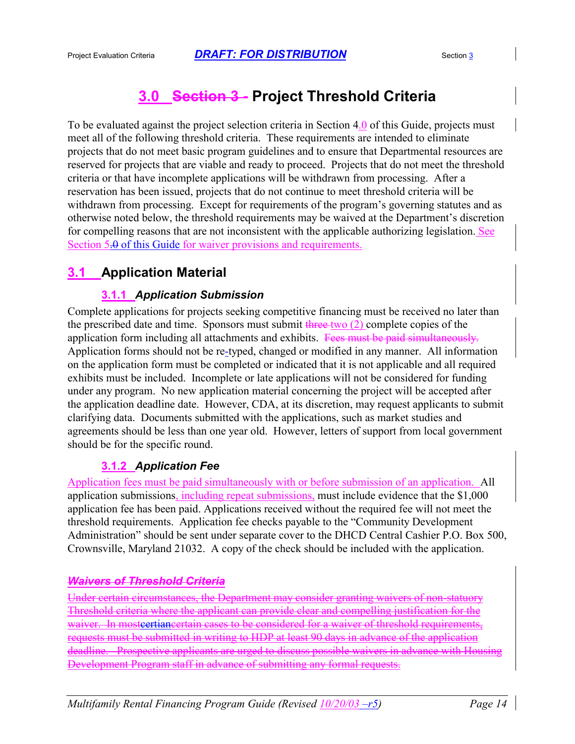## **3.0 Section 3 - Project Threshold Criteria**

To be evaluated against the project selection criteria in Section 4.0 of this Guide, projects must meet all of the following threshold criteria. These requirements are intended to eliminate projects that do not meet basic program guidelines and to ensure that Departmental resources are reserved for projects that are viable and ready to proceed. Projects that do not meet the threshold criteria or that have incomplete applications will be withdrawn from processing. After a reservation has been issued, projects that do not continue to meet threshold criteria will be withdrawn from processing. Except for requirements of the program's governing statutes and as otherwise noted below, the threshold requirements may be waived at the Department's discretion for compelling reasons that are not inconsistent with the applicable authorizing legislation. See Section 5.0 of this Guide for waiver provisions and requirements.

### **3.1 Application Material**

### **3.1.1** *Application Submission*

Complete applications for projects seeking competitive financing must be received no later than the prescribed date and time. Sponsors must submit three two  $(2)$  complete copies of the application form including all attachments and exhibits. Fees must be paid simultaneously. Application forms should not be re-typed, changed or modified in any manner. All information on the application form must be completed or indicated that it is not applicable and all required exhibits must be included. Incomplete or late applications will not be considered for funding under any program. No new application material concerning the project will be accepted after the application deadline date. However, CDA, at its discretion, may request applicants to submit clarifying data. Documents submitted with the applications, such as market studies and agreements should be less than one year old. However, letters of support from local government should be for the specific round.

### **3.1.2** *Application Fee*

Application fees must be paid simultaneously with or before submission of an application. All application submissions, including repeat submissions, must include evidence that the \$1,000 application fee has been paid. Applications received without the required fee will not meet the threshold requirements. Application fee checks payable to the "Community Development Administration" should be sent under separate cover to the DHCD Central Cashier P.O. Box 500, Crownsville, Maryland 21032. A copy of the check should be included with the application.

### *Waivers of Threshold Criteria*

Under certain circumstances, the Department may consider granting waivers of non-statuory Threshold criteria where the applicant can provide clear and compelling justification for the waiver. In mostcertiancertain cases to be considered for a waiver of threshold requirements, requests must be submitted in writing to HDP at least 90 days in advance of the application deadline. Prospective applicants are urged to discuss possible waivers in advance with Housing Development Program staff in advance of submitting any formal requests.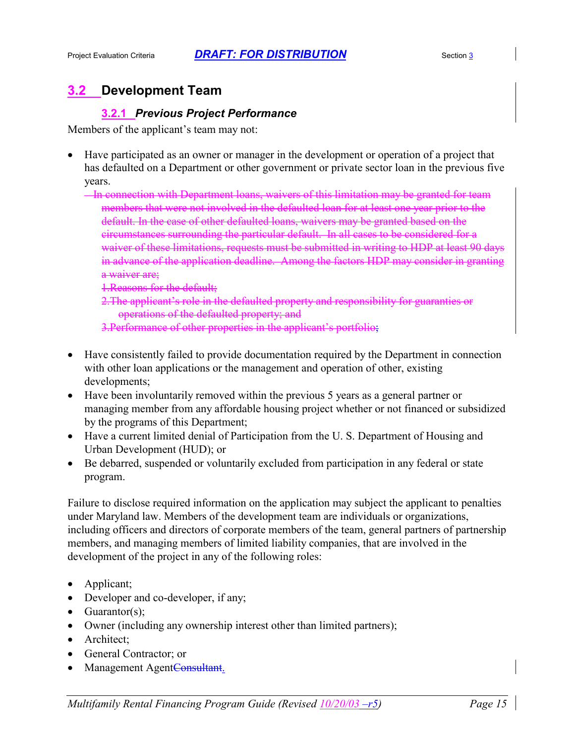## **3.2 Development Team**

### **3.2.1** *Previous Project Performance*

Members of the applicant's team may not:

- Have participated as an owner or manager in the development or operation of a project that has defaulted on a Department or other government or private sector loan in the previous five years.
	- In connection with Department loans, waivers of this limitation may be granted for team members that were not involved in the defaulted loan for at least one year prior to the default. In the case of other defaulted loans, waivers may be granted based on the circumstances surrounding the particular default. In all cases to be considered for a waiver of these limitations, requests must be submitted in writing to HDP at least 90 days in advance of the application deadline. Among the factors HDP may consider in granting a waiver are;
		- 1.Reasons for the default;
		- 2. The applicant's role in the defaulted property and responsibility for guaranties or operations of the defaulted property; and
		- 3.Performance of other properties in the applicant's portfolio;
- Have consistently failed to provide documentation required by the Department in connection with other loan applications or the management and operation of other, existing developments;
- Have been involuntarily removed within the previous 5 years as a general partner or managing member from any affordable housing project whether or not financed or subsidized by the programs of this Department;
- Have a current limited denial of Participation from the U. S. Department of Housing and Urban Development (HUD); or
- Be debarred, suspended or voluntarily excluded from participation in any federal or state program.

Failure to disclose required information on the application may subject the applicant to penalties under Maryland law. Members of the development team are individuals or organizations, including officers and directors of corporate members of the team, general partners of partnership members, and managing members of limited liability companies, that are involved in the development of the project in any of the following roles:

- Applicant;
- Developer and co-developer, if any;
- Guarantor(s);
- Owner (including any ownership interest other than limited partners);
- Architect:
- General Contractor; or
- Management AgentConsultant.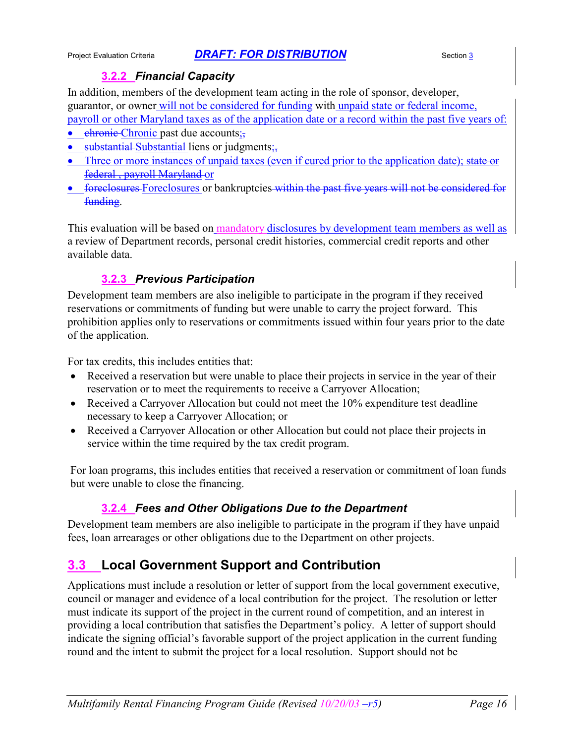### **3.2.2** *Financial Capacity*

In addition, members of the development team acting in the role of sponsor, developer, guarantor, or owner will not be considered for funding with unpaid state or federal income, payroll or other Maryland taxes as of the application date or a record within the past five years of:

- $\bullet$  ehronic Chronic past due accounts;
- substantial Substantial liens or judgments;
- Three or more instances of unpaid taxes (even if cured prior to the application date); state or federal , payroll Maryland or
- foreclosures Foreclosures or bankruptcies within the past five years will not be considered for funding.

This evaluation will be based on mandatory disclosures by development team members as well as a review of Department records, personal credit histories, commercial credit reports and other available data.

### **3.2.3** *Previous Participation*

Development team members are also ineligible to participate in the program if they received reservations or commitments of funding but were unable to carry the project forward. This prohibition applies only to reservations or commitments issued within four years prior to the date of the application.

For tax credits, this includes entities that:

- Received a reservation but were unable to place their projects in service in the year of their reservation or to meet the requirements to receive a Carryover Allocation;
- Received a Carryover Allocation but could not meet the 10% expenditure test deadline necessary to keep a Carryover Allocation; or
- Received a Carryover Allocation or other Allocation but could not place their projects in service within the time required by the tax credit program.

For loan programs, this includes entities that received a reservation or commitment of loan funds but were unable to close the financing.

### **3.2.4** *Fees and Other Obligations Due to the Department*

Development team members are also ineligible to participate in the program if they have unpaid fees, loan arrearages or other obligations due to the Department on other projects.

### **3.3 Local Government Support and Contribution**

Applications must include a resolution or letter of support from the local government executive, council or manager and evidence of a local contribution for the project. The resolution or letter must indicate its support of the project in the current round of competition, and an interest in providing a local contribution that satisfies the Department's policy. A letter of support should indicate the signing official's favorable support of the project application in the current funding round and the intent to submit the project for a local resolution. Support should not be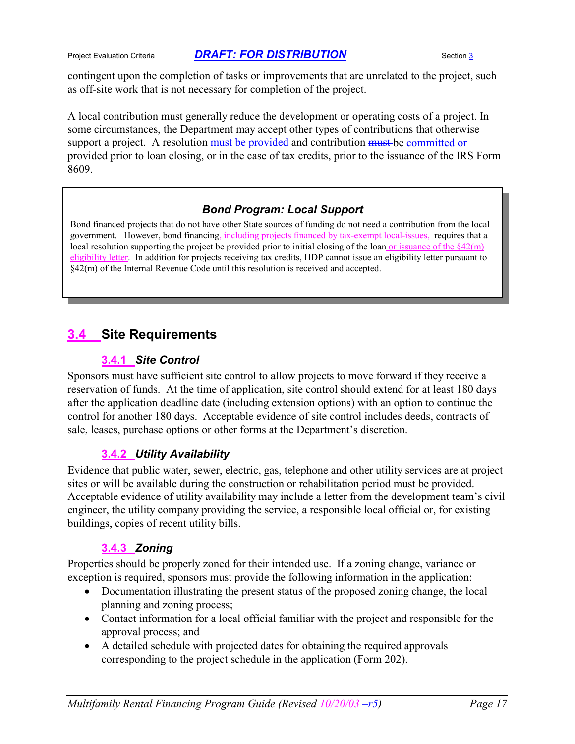contingent upon the completion of tasks or improvements that are unrelated to the project, such as off-site work that is not necessary for completion of the project.

A local contribution must generally reduce the development or operating costs of a project. In some circumstances, the Department may accept other types of contributions that otherwise support a project. A resolution must be provided and contribution must be committed or provided prior to loan closing, or in the case of tax credits, prior to the issuance of the IRS Form 8609.

### *Bond Program: Local Support*

Bond financed projects that do not have other State sources of funding do not need a contribution from the local government. However, bond financing, including projects financed by tax-exempt local-issues, requires that a local resolution supporting the project be provided prior to initial closing of the loan or issuance of the  $\S42(m)$ eligibility letter. In addition for projects receiving tax credits, HDP cannot issue an eligibility letter pursuant to §42(m) of the Internal Revenue Code until this resolution is received and accepted.

### **3.4 Site Requirements**

### **3.4.1** *Site Control*

Sponsors must have sufficient site control to allow projects to move forward if they receive a reservation of funds. At the time of application, site control should extend for at least 180 days after the application deadline date (including extension options) with an option to continue the control for another 180 days. Acceptable evidence of site control includes deeds, contracts of sale, leases, purchase options or other forms at the Department's discretion.

### **3.4.2** *Utility Availability*

Evidence that public water, sewer, electric, gas, telephone and other utility services are at project sites or will be available during the construction or rehabilitation period must be provided. Acceptable evidence of utility availability may include a letter from the development team's civil engineer, the utility company providing the service, a responsible local official or, for existing buildings, copies of recent utility bills.

### **3.4.3** *Zoning*

Properties should be properly zoned for their intended use. If a zoning change, variance or exception is required, sponsors must provide the following information in the application:

- Documentation illustrating the present status of the proposed zoning change, the local planning and zoning process;
- Contact information for a local official familiar with the project and responsible for the approval process; and
- A detailed schedule with projected dates for obtaining the required approvals corresponding to the project schedule in the application (Form 202).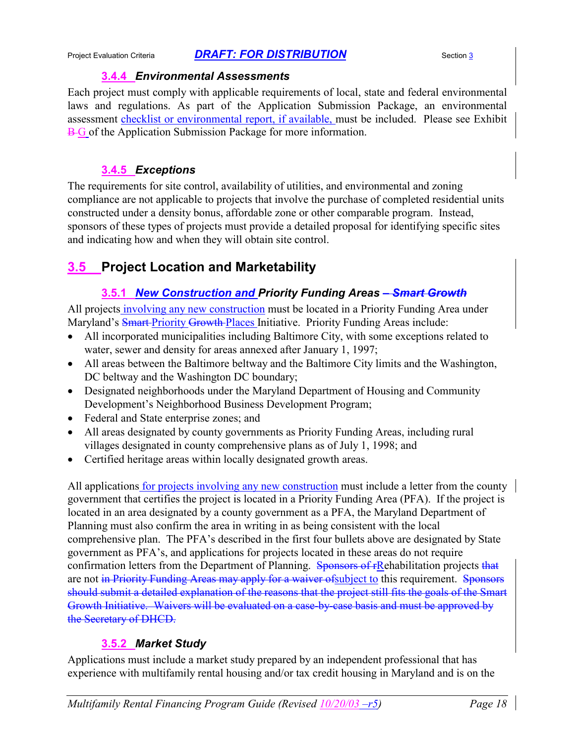#### **3.4.4** *Environmental Assessments*

Each project must comply with applicable requirements of local, state and federal environmental laws and regulations. As part of the Application Submission Package, an environmental assessment checklist or environmental report, if available, must be included. Please see Exhibit **B-G** of the Application Submission Package for more information.

### **3.4.5** *Exceptions*

The requirements for site control, availability of utilities, and environmental and zoning compliance are not applicable to projects that involve the purchase of completed residential units constructed under a density bonus, affordable zone or other comparable program. Instead, sponsors of these types of projects must provide a detailed proposal for identifying specific sites and indicating how and when they will obtain site control.

## **3.5 Project Location and Marketability**

### **3.5.1** *New Construction and Priority Funding Areas – Smart Growth*

All projects involving any new construction must be located in a Priority Funding Area under Maryland's Smart-Priority Growth-Places Initiative. Priority Funding Areas include:

- All incorporated municipalities including Baltimore City, with some exceptions related to water, sewer and density for areas annexed after January 1, 1997;
- All areas between the Baltimore beltway and the Baltimore City limits and the Washington, DC beltway and the Washington DC boundary;
- Designated neighborhoods under the Maryland Department of Housing and Community Development's Neighborhood Business Development Program;
- Federal and State enterprise zones; and
- All areas designated by county governments as Priority Funding Areas, including rural villages designated in county comprehensive plans as of July 1, 1998; and
- Certified heritage areas within locally designated growth areas.

All applications for projects involving any new construction must include a letter from the county government that certifies the project is located in a Priority Funding Area (PFA). If the project is located in an area designated by a county government as a PFA, the Maryland Department of Planning must also confirm the area in writing in as being consistent with the local comprehensive plan. The PFA's described in the first four bullets above are designated by State government as PFA's, and applications for projects located in these areas do not require confirmation letters from the Department of Planning. Sponsors of rRehabilitation projects that are not in Priority Funding Areas may apply for a waiver of subject to this requirement. Sponsors should submit a detailed explanation of the reasons that the project still fits the goals of the Smart Growth Initiative. Waivers will be evaluated on a case-by-case basis and must be approved by the Secretary of DHCD.

### **3.5.2** *Market Study*

Applications must include a market study prepared by an independent professional that has experience with multifamily rental housing and/or tax credit housing in Maryland and is on the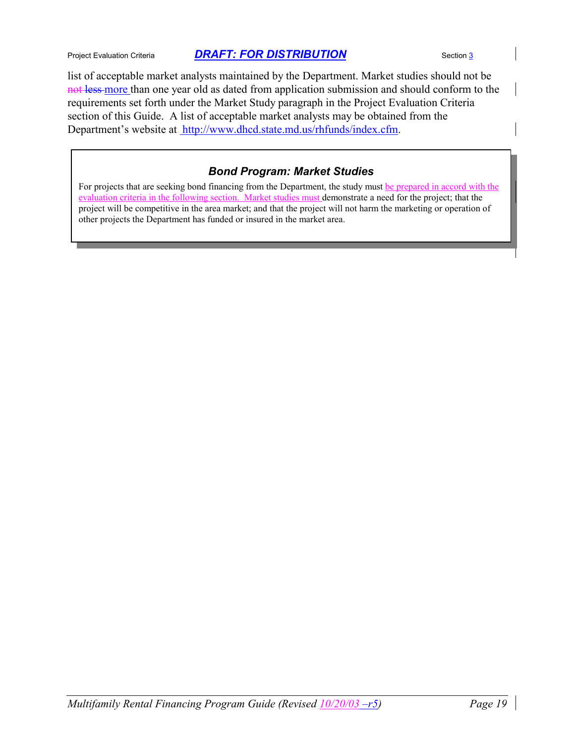list of acceptable market analysts maintained by the Department. Market studies should not be not less more than one year old as dated from application submission and should conform to the requirements set forth under the Market Study paragraph in the Project Evaluation Criteria section of this Guide. A list of acceptable market analysts may be obtained from the Department's website at http://www.dhcd.state.md.us/rhfunds/index.cfm.

### *Bond Program: Market Studies*

For projects that are seeking bond financing from the Department, the study must be prepared in accord with the evaluation criteria in the following section. Market studies must demonstrate a need for the project; that the project will be competitive in the area market; and that the project will not harm the marketing or operation of other projects the Department has funded or insured in the market area.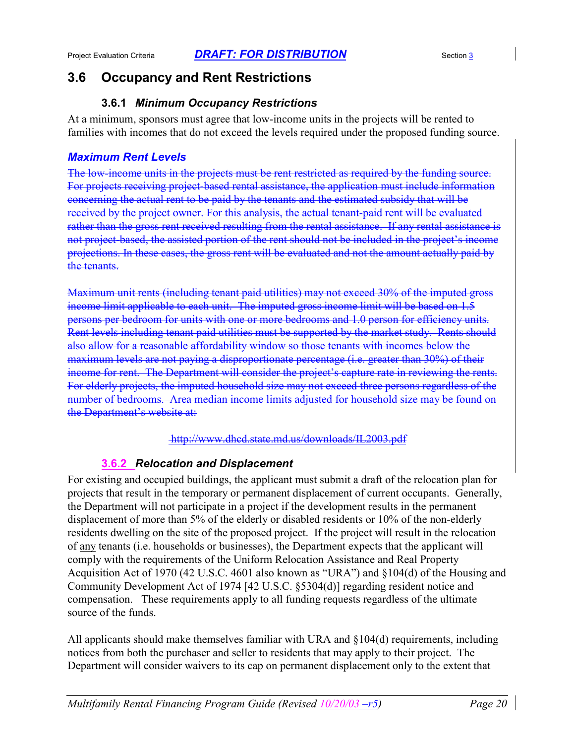### **3.6 Occupancy and Rent Restrictions**

### **3.6.1** *Minimum Occupancy Restrictions*

At a minimum, sponsors must agree that low-income units in the projects will be rented to families with incomes that do not exceed the levels required under the proposed funding source.

#### *Maximum Rent Levels*

The low-income units in the projects must be rent restricted as required by the funding source. For projects receiving project-based rental assistance, the application must include information concerning the actual rent to be paid by the tenants and the estimated subsidy that will be received by the project owner. For this analysis, the actual tenant-paid rent will be evaluated rather than the gross rent received resulting from the rental assistance. If any rental assistance is not project-based, the assisted portion of the rent should not be included in the project's income projections. In these cases, the gross rent will be evaluated and not the amount actually paid by the tenants.

Maximum unit rents (including tenant paid utilities) may not exceed 30% of the imputed gross income limit applicable to each unit. The imputed gross income limit will be based on 1.5 persons per bedroom for units with one or more bedrooms and 1.0 person for efficiency units. Rent levels including tenant paid utilities must be supported by the market study. Rents should also allow for a reasonable affordability window so those tenants with incomes below the maximum levels are not paying a disproportionate percentage (i.e. greater than 30%) of their income for rent. The Department will consider the project's capture rate in reviewing the rents. For elderly projects, the imputed household size may not exceed three persons regardless of the number of bedrooms. Area median income limits adjusted for household size may be found on the Department's website at:

http://www.dhcd.state.md.us/downloads/IL2003.pdf

### **3.6.2** *Relocation and Displacement*

For existing and occupied buildings, the applicant must submit a draft of the relocation plan for projects that result in the temporary or permanent displacement of current occupants. Generally, the Department will not participate in a project if the development results in the permanent displacement of more than 5% of the elderly or disabled residents or 10% of the non-elderly residents dwelling on the site of the proposed project. If the project will result in the relocation of any tenants (i.e. households or businesses), the Department expects that the applicant will comply with the requirements of the Uniform Relocation Assistance and Real Property Acquisition Act of 1970 (42 U.S.C. 4601 also known as "URA") and §104(d) of the Housing and Community Development Act of 1974 [42 U.S.C. §5304(d)] regarding resident notice and compensation. These requirements apply to all funding requests regardless of the ultimate source of the funds.

All applicants should make themselves familiar with URA and §104(d) requirements, including notices from both the purchaser and seller to residents that may apply to their project. The Department will consider waivers to its cap on permanent displacement only to the extent that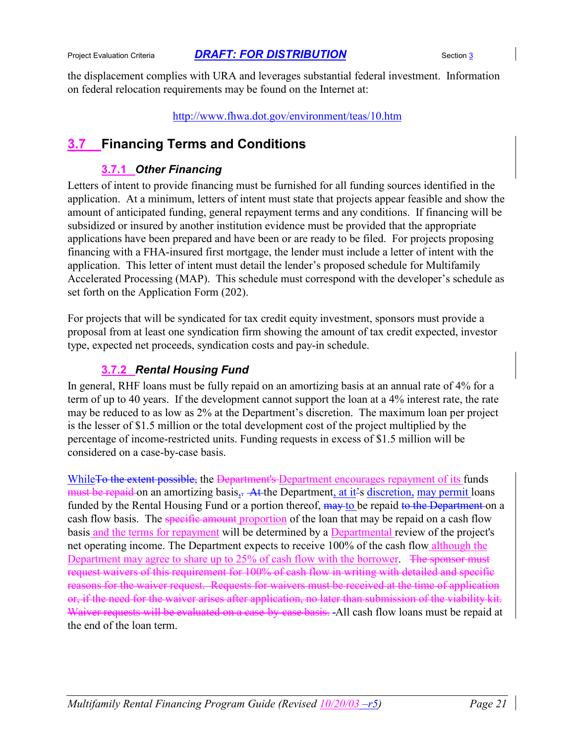the displacement complies with URA and leverages substantial federal investment. Information on federal relocation requirements may be found on the Internet at:

http://www.fhwa.dot.gov/environment/teas/10.htm

## **3.7 Financing Terms and Conditions**

### **3.7.1** *Other Financing*

Letters of intent to provide financing must be furnished for all funding sources identified in the application. At a minimum, letters of intent must state that projects appear feasible and show the amount of anticipated funding, general repayment terms and any conditions. If financing will be subsidized or insured by another institution evidence must be provided that the appropriate applications have been prepared and have been or are ready to be filed. For projects proposing financing with a FHA-insured first mortgage, the lender must include a letter of intent with the application. This letter of intent must detail the lender's proposed schedule for Multifamily Accelerated Processing (MAP). This schedule must correspond with the developer's schedule as set forth on the Application Form (202).

For projects that will be syndicated for tax credit equity investment, sponsors must provide a proposal from at least one syndication firm showing the amount of tax credit expected, investor type, expected net proceeds, syndication costs and pay-in schedule.

### **3.7.2** *Rental Housing Fund*

In general, RHF loans must be fully repaid on an amortizing basis at an annual rate of 4% for a term of up to 40 years. If the development cannot support the loan at a 4% interest rate, the rate may be reduced to as low as 2% at the Department's discretion. The maximum loan per project is the lesser of \$1.5 million or the total development cost of the project multiplied by the percentage of income-restricted units. Funding requests in excess of \$1.5 million will be considered on a case-by-case basis.

While<del>To the extent possible,</del> the <del>Department's Department encourages repayment of its</del> funds must be repaid on an amortizing basis,. At the Department, at it's discretion, may permit loans funded by the Rental Housing Fund or a portion thereof, may to be repaid to the Department on a cash flow basis. The specific amount proportion of the loan that may be repaid on a cash flow basis and the terms for repayment will be determined by a Departmental review of the project's net operating income. The Department expects to receive 100% of the cash flow although the Department may agree to share up to 25% of cash flow with the borrower. The sponsor must request waivers of this requirement for 100% of cash flow in writing with detailed and specific reasons for the waiver request. Requests for waivers must be received at the time of application or, if the need for the waiver arises after application, no later than submission of the viability kit. Waiver requests will be evaluated on a case-by-case basis. All cash flow loans must be repaid at the end of the loan term.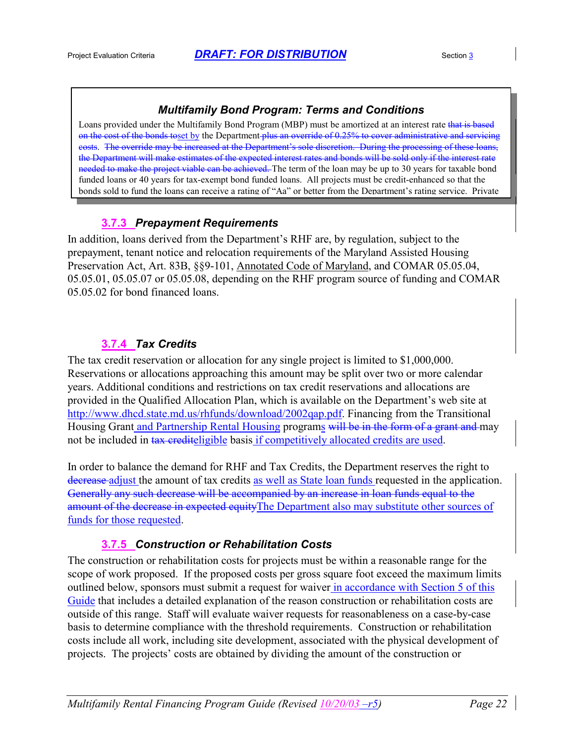#### *Multifamily Bond Program: Terms and Conditions*

Loans provided under the Multifamily Bond Program (MBP) must be amortized at an interest rate that is based on the cost of the bonds toset by the Department plus an override of 0.25% to cover administrative and servicing costs. The override may be increased at the Department's sole discretion. During the processing of these the Department will make estimates of the expected interest rates and bonds will be sold only if the interest rate needed to make the project viable can be achieved. The term of the loan may be up to 30 years for taxable bond funded loans or 40 years for tax-exempt bond funded loans. All projects must be credit-enhanced so that the bonds sold to fund the loans can receive a rating of "Aa" or better from the Department's rating service. Private

### **3.7.3** *Prepayment Requirements*

In addition, loans derived from the Department's RHF are, by regulation, subject to the prepayment, tenant notice and relocation requirements of the Maryland Assisted Housing Preservation Act, Art. 83B, §§9-101, Annotated Code of Maryland, and COMAR 05.05.04, 05.05.01, 05.05.07 or 05.05.08, depending on the RHF program source of funding and COMAR 05.05.02 for bond financed loans.

### **3.7.4** *Tax Credits*

The tax credit reservation or allocation for any single project is limited to \$1,000,000. Reservations or allocations approaching this amount may be split over two or more calendar years. Additional conditions and restrictions on tax credit reservations and allocations are provided in the Qualified Allocation Plan, which is available on the Department's web site at http://www.dhcd.state.md.us/rhfunds/download/2002qap.pdf. Financing from the Transitional Housing Grant and Partnership Rental Housing programs will be in the form of a grant and may not be included in tax crediteligible basis if competitively allocated credits are used.

In order to balance the demand for RHF and Tax Credits, the Department reserves the right to decrease adjust the amount of tax credits as well as State loan funds requested in the application. Generally any such decrease will be accompanied by an increase in loan funds equal to the amount of the decrease in expected equityThe Department also may substitute other sources of funds for those requested.

### **3.7.5** *Construction or Rehabilitation Costs*

The construction or rehabilitation costs for projects must be within a reasonable range for the scope of work proposed. If the proposed costs per gross square foot exceed the maximum limits outlined below, sponsors must submit a request for waiver in accordance with Section 5 of this Guide that includes a detailed explanation of the reason construction or rehabilitation costs are outside of this range. Staff will evaluate waiver requests for reasonableness on a case-by-case basis to determine compliance with the threshold requirements. Construction or rehabilitation costs include all work, including site development, associated with the physical development of projects. The projects' costs are obtained by dividing the amount of the construction or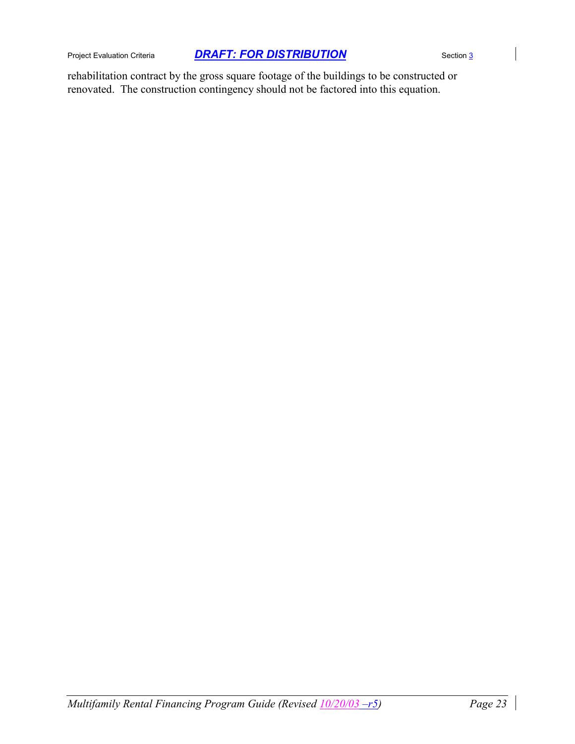rehabilitation contract by the gross square footage of the buildings to be constructed or renovated. The construction contingency should not be factored into this equation.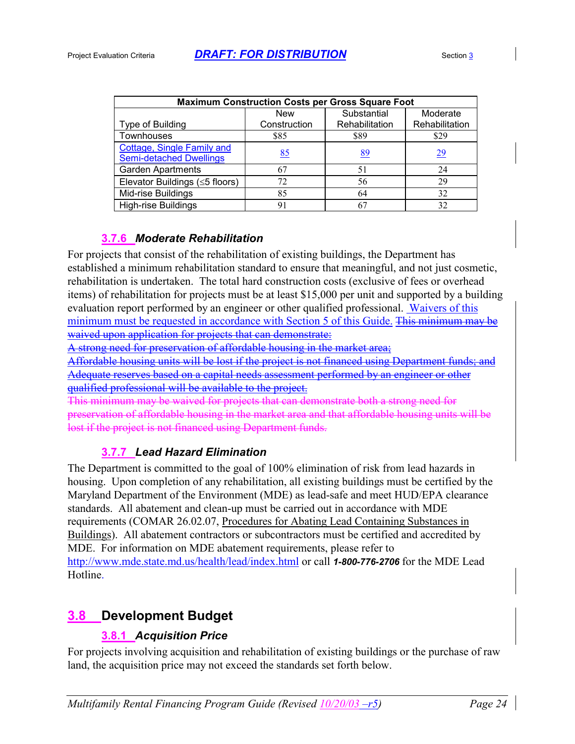| <b>Maximum Construction Costs per Gross Square Foot</b> |                                       |                |                |  |  |  |  |  |
|---------------------------------------------------------|---------------------------------------|----------------|----------------|--|--|--|--|--|
|                                                         | Substantial<br>Moderate<br><b>New</b> |                |                |  |  |  |  |  |
| Type of Building                                        | Construction                          | Rehabilitation | Rehabilitation |  |  |  |  |  |
| <b>Townhouses</b>                                       | \$85                                  | \$89           | \$29           |  |  |  |  |  |
| Cottage, Single Family and                              |                                       |                |                |  |  |  |  |  |
| <b>Semi-detached Dwellings</b>                          | 85                                    | 89             | <u>29</u>      |  |  |  |  |  |
| <b>Garden Apartments</b>                                | 67                                    | 51             | 24             |  |  |  |  |  |
| Elevator Buildings (<5 floors)                          | 72                                    | 56             | 29             |  |  |  |  |  |
| Mid-rise Buildings                                      | 85                                    | 64             | 32             |  |  |  |  |  |
| <b>High-rise Buildings</b>                              | 91                                    |                | 32             |  |  |  |  |  |

#### **3.7.6** *Moderate Rehabilitation*

For projects that consist of the rehabilitation of existing buildings, the Department has established a minimum rehabilitation standard to ensure that meaningful, and not just cosmetic, rehabilitation is undertaken. The total hard construction costs (exclusive of fees or overhead items) of rehabilitation for projects must be at least \$15,000 per unit and supported by a building evaluation report performed by an engineer or other qualified professional. Waivers of this minimum must be requested in accordance with Section 5 of this Guide. This minimum may be waived upon application for projects that can demonstrate:

A strong need for preservation of affordable housing in the market area;

Affordable housing units will be lost if the project is not financed using Department funds; and Adequate reserves based on a capital needs assessment performed by an engineer or other qualified professional will be available to the project.

This minimum may be waived for projects that can demonstrate both a strong need for preservation of affordable housing in the market area and that affordable housing units will be lost if the project is not financed using Department funds.

### **3.7.7** *Lead Hazard Elimination*

The Department is committed to the goal of 100% elimination of risk from lead hazards in housing. Upon completion of any rehabilitation, all existing buildings must be certified by the Maryland Department of the Environment (MDE) as lead-safe and meet HUD/EPA clearance standards. All abatement and clean-up must be carried out in accordance with MDE requirements (COMAR 26.02.07, Procedures for Abating Lead Containing Substances in Buildings). All abatement contractors or subcontractors must be certified and accredited by MDE. For information on MDE abatement requirements, please refer to http://www.mde.state.md.us/health/lead/index.html or call *1-800-776-2706* for the MDE Lead Hotline.

### **3.8 Development Budget**

### **3.8.1** *Acquisition Price*

For projects involving acquisition and rehabilitation of existing buildings or the purchase of raw land, the acquisition price may not exceed the standards set forth below.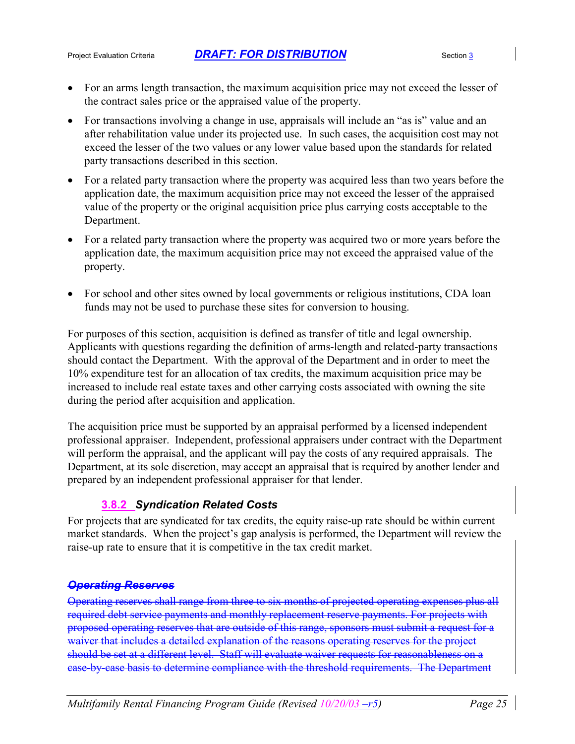- For an arms length transaction, the maximum acquisition price may not exceed the lesser of the contract sales price or the appraised value of the property.
- For transactions involving a change in use, appraisals will include an "as is" value and an after rehabilitation value under its projected use. In such cases, the acquisition cost may not exceed the lesser of the two values or any lower value based upon the standards for related party transactions described in this section.
- For a related party transaction where the property was acquired less than two years before the application date, the maximum acquisition price may not exceed the lesser of the appraised value of the property or the original acquisition price plus carrying costs acceptable to the Department.
- For a related party transaction where the property was acquired two or more years before the application date, the maximum acquisition price may not exceed the appraised value of the property.
- For school and other sites owned by local governments or religious institutions, CDA loan funds may not be used to purchase these sites for conversion to housing.

For purposes of this section, acquisition is defined as transfer of title and legal ownership. Applicants with questions regarding the definition of arms-length and related-party transactions should contact the Department. With the approval of the Department and in order to meet the 10% expenditure test for an allocation of tax credits, the maximum acquisition price may be increased to include real estate taxes and other carrying costs associated with owning the site during the period after acquisition and application.

The acquisition price must be supported by an appraisal performed by a licensed independent professional appraiser. Independent, professional appraisers under contract with the Department will perform the appraisal, and the applicant will pay the costs of any required appraisals. The Department, at its sole discretion, may accept an appraisal that is required by another lender and prepared by an independent professional appraiser for that lender.

### **3.8.2** *Syndication Related Costs*

For projects that are syndicated for tax credits, the equity raise-up rate should be within current market standards. When the project's gap analysis is performed, the Department will review the raise-up rate to ensure that it is competitive in the tax credit market.

### *Operating Reserves*

Operating reserves shall range from three to six months of projected operating expenses plus all required debt service payments and monthly replacement reserve payments. For projects with proposed operating reserves that are outside of this range, sponsors must submit a request for a waiver that includes a detailed explanation of the reasons operating reserves for the project should be set at a different level. Staff will evaluate waiver requests for reasonableness on a case-by-case basis to determine compliance with the threshold requirements. The Department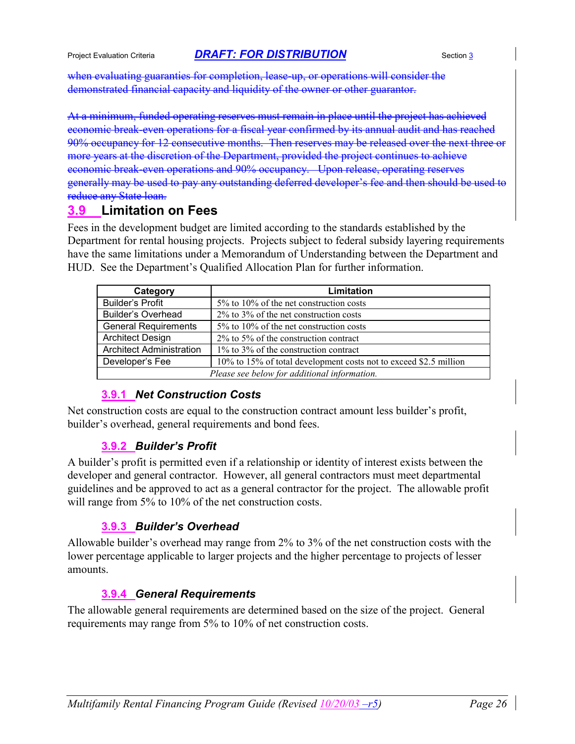when evaluating guaranties for completion, lease-up, or operations will consider the demonstrated financial capacity and liquidity of the owner or other guarantor.

At a minimum, funded operating reserves must remain in place until the project has achieved economic break-even operations for a fiscal year confirmed by its annual audit and has reached 90% occupancy for 12 consecutive months. Then reserves may be released over the next three or more years at the discretion of the Department, provided the project continues to achieve economic break-even operations and 90% occupancy. Upon release, operating reserves generally may be used to pay any outstanding deferred developer's fee and then should be used to reduce any State loan.

### **3.9 Limitation on Fees**

Fees in the development budget are limited according to the standards established by the Department for rental housing projects. Projects subject to federal subsidy layering requirements have the same limitations under a Memorandum of Understanding between the Department and HUD. See the Department's Qualified Allocation Plan for further information.

| Category                                     | Limitation                                                        |  |  |
|----------------------------------------------|-------------------------------------------------------------------|--|--|
| <b>Builder's Profit</b>                      | 5% to 10% of the net construction costs                           |  |  |
| <b>Builder's Overhead</b>                    | $2\%$ to $3\%$ of the net construction costs                      |  |  |
| <b>General Requirements</b>                  | 5% to 10% of the net construction costs                           |  |  |
| <b>Architect Design</b>                      | $2\%$ to 5% of the construction contract                          |  |  |
| <b>Architect Administration</b>              | 1% to 3% of the construction contract                             |  |  |
| Developer's Fee                              | 10% to 15% of total development costs not to exceed \$2.5 million |  |  |
| Please see below for additional information. |                                                                   |  |  |

### **3.9.1** *Net Construction Costs*

Net construction costs are equal to the construction contract amount less builder's profit, builder's overhead, general requirements and bond fees.

### **3.9.2** *Builder's Profit*

A builder's profit is permitted even if a relationship or identity of interest exists between the developer and general contractor. However, all general contractors must meet departmental guidelines and be approved to act as a general contractor for the project. The allowable profit will range from 5% to 10% of the net construction costs.

### **3.9.3** *Builder's Overhead*

Allowable builder's overhead may range from 2% to 3% of the net construction costs with the lower percentage applicable to larger projects and the higher percentage to projects of lesser amounts.

### **3.9.4** *General Requirements*

The allowable general requirements are determined based on the size of the project. General requirements may range from 5% to 10% of net construction costs.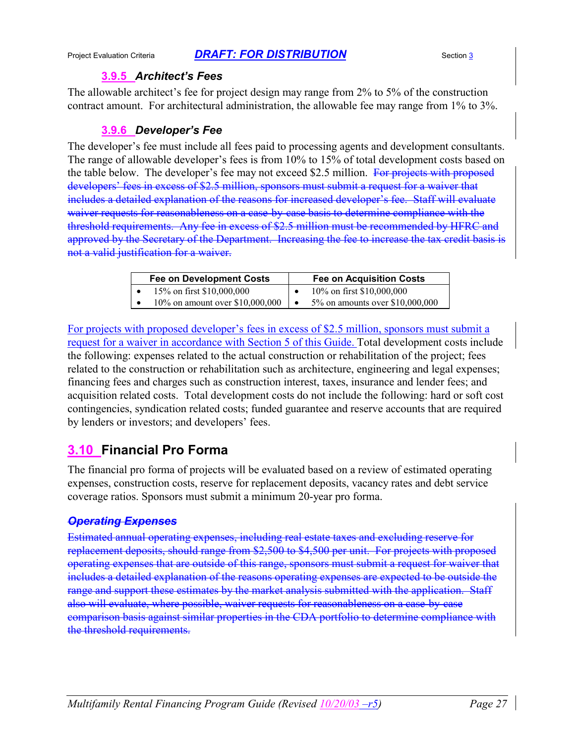#### **3.9.5** *Architect's Fees*

The allowable architect's fee for project design may range from 2% to 5% of the construction contract amount. For architectural administration, the allowable fee may range from 1% to 3%.

### **3.9.6** *Developer's Fee*

The developer's fee must include all fees paid to processing agents and development consultants. The range of allowable developer's fees is from 10% to 15% of total development costs based on the table below. The developer's fee may not exceed \$2.5 million. For projects with proposed developers' fees in excess of \$2.5 million, sponsors must submit a request for a waiver that includes a detailed explanation of the reasons for increased developer's fee. Staff will evaluate waiver requests for reasonableness on a case-by-case basis to determine compliance with the threshold requirements. Any fee in excess of \$2.5 million must be recommended by HFRC and approved by the Secretary of the Department. Increasing the fee to increase the tax credit basis is not a valid justification for a waiver.

| <b>Fee on Development Costs</b> |                                  | <b>Fee on Acquisition Costs</b> |
|---------------------------------|----------------------------------|---------------------------------|
|                                 | 15\% on first \$10,000,000       | 10\% on first \$10,000,000      |
|                                 | 10\% on amount over \$10,000,000 | 5% on amounts over \$10,000,000 |

For projects with proposed developer's fees in excess of \$2.5 million, sponsors must submit a request for a waiver in accordance with Section 5 of this Guide. Total development costs include the following: expenses related to the actual construction or rehabilitation of the project; fees related to the construction or rehabilitation such as architecture, engineering and legal expenses; financing fees and charges such as construction interest, taxes, insurance and lender fees; and acquisition related costs. Total development costs do not include the following: hard or soft cost contingencies, syndication related costs; funded guarantee and reserve accounts that are required by lenders or investors; and developers' fees.

### **3.10 Financial Pro Forma**

The financial pro forma of projects will be evaluated based on a review of estimated operating expenses, construction costs, reserve for replacement deposits, vacancy rates and debt service coverage ratios. Sponsors must submit a minimum 20-year pro forma.

### *Operating Expenses*

Estimated annual operating expenses, including real estate taxes and excluding reserve for replacement deposits, should range from \$2,500 to \$4,500 per unit. For projects with proposed operating expenses that are outside of this range, sponsors must submit a request for waiver that includes a detailed explanation of the reasons operating expenses are expected to be outside the range and support these estimates by the market analysis submitted with the application. Staff also will evaluate, where possible, waiver requests for reasonableness on a case-by-case comparison basis against similar properties in the CDA portfolio to determine compliance with the threshold requirements.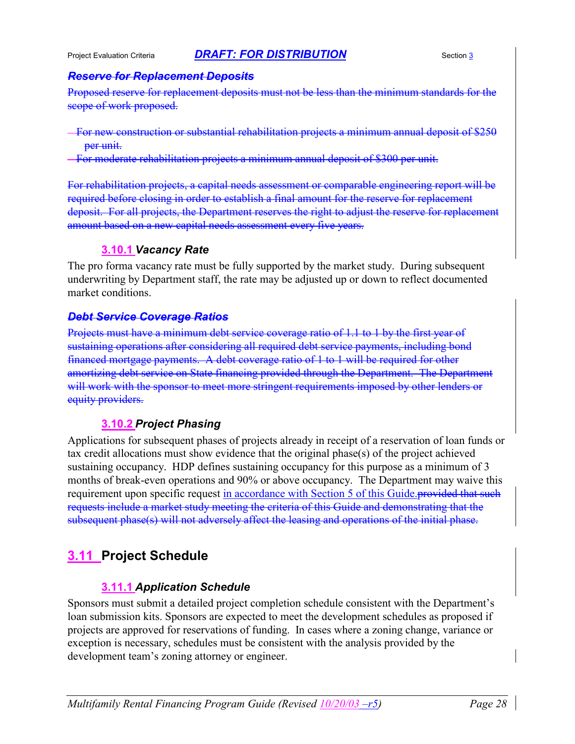#### *Reserve for Replacement Deposits*

Proposed reserve for replacement deposits must not be less than the minimum standards for the scope of work proposed.

For new construction or substantial rehabilitation projects a minimum annual deposit of \$250 per unit.

For moderate rehabilitation projects a minimum annual deposit of \$300 per unit.

For rehabilitation projects, a capital needs assessment or comparable engineering report will be required before closing in order to establish a final amount for the reserve for replacement deposit. For all projects, the Department reserves the right to adjust the reserve for replacement amount based on a new capital needs assessment every five years.

### **3.10.1** *Vacancy Rate*

The pro forma vacancy rate must be fully supported by the market study. During subsequent underwriting by Department staff, the rate may be adjusted up or down to reflect documented market conditions.

### *Debt Service Coverage Ratios*

Projects must have a minimum debt service coverage ratio of 1.1 to 1 by the first year of sustaining operations after considering all required debt service payments, including bond financed mortgage payments. A debt coverage ratio of 1 to 1 will be required for other amortizing debt service on State financing provided through the Department. The Department will work with the sponsor to meet more stringent requirements imposed by other lenders or equity providers.

### **3.10.2** *Project Phasing*

Applications for subsequent phases of projects already in receipt of a reservation of loan funds or tax credit allocations must show evidence that the original phase(s) of the project achieved sustaining occupancy. HDP defines sustaining occupancy for this purpose as a minimum of 3 months of break-even operations and 90% or above occupancy. The Department may waive this requirement upon specific request in accordance with Section 5 of this Guide. requests include a market study meeting the criteria of this Guide and demonstrating that the subsequent phase(s) will not adversely affect the leasing and operations of the initial phase.

### **3.11 Project Schedule**

### **3.11.1** *Application Schedule*

Sponsors must submit a detailed project completion schedule consistent with the Department's loan submission kits. Sponsors are expected to meet the development schedules as proposed if projects are approved for reservations of funding. In cases where a zoning change, variance or exception is necessary, schedules must be consistent with the analysis provided by the development team's zoning attorney or engineer.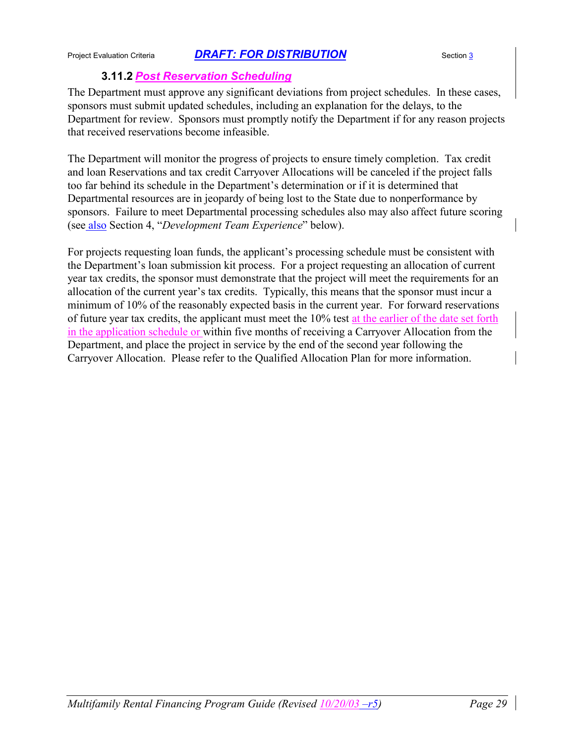### **3.11.2** *Post Reservation Scheduling*

The Department must approve any significant deviations from project schedules. In these cases, sponsors must submit updated schedules, including an explanation for the delays, to the Department for review. Sponsors must promptly notify the Department if for any reason projects that received reservations become infeasible.

The Department will monitor the progress of projects to ensure timely completion. Tax credit and loan Reservations and tax credit Carryover Allocations will be canceled if the project falls too far behind its schedule in the Department's determination or if it is determined that Departmental resources are in jeopardy of being lost to the State due to nonperformance by sponsors. Failure to meet Departmental processing schedules also may also affect future scoring (see also Section 4, "*Development Team Experience*" below).

For projects requesting loan funds, the applicant's processing schedule must be consistent with the Department's loan submission kit process. For a project requesting an allocation of current year tax credits, the sponsor must demonstrate that the project will meet the requirements for an allocation of the current year's tax credits. Typically, this means that the sponsor must incur a minimum of 10% of the reasonably expected basis in the current year. For forward reservations of future year tax credits, the applicant must meet the 10% test at the earlier of the date set forth in the application schedule or within five months of receiving a Carryover Allocation from the Department, and place the project in service by the end of the second year following the Carryover Allocation. Please refer to the Qualified Allocation Plan for more information.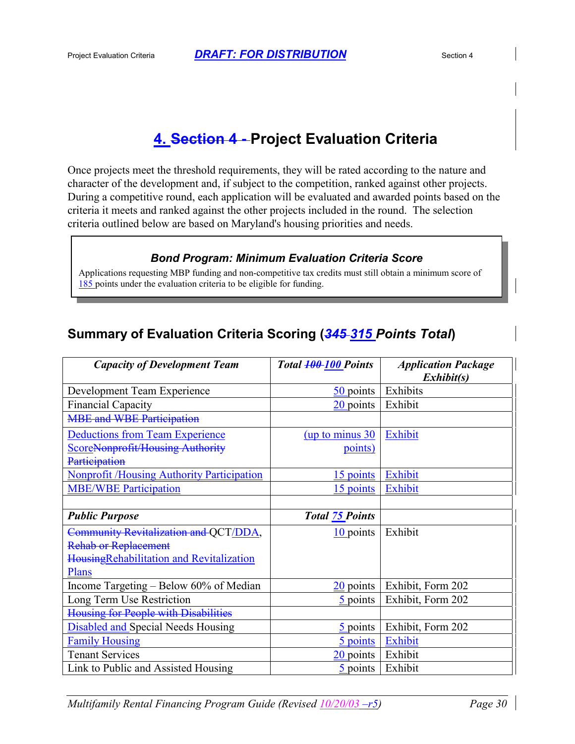# **4. Section 4 - Project Evaluation Criteria**

Once projects meet the threshold requirements, they will be rated according to the nature and character of the development and, if subject to the competition, ranked against other projects. During a competitive round, each application will be evaluated and awarded points based on the criteria it meets and ranked against the other projects included in the round. The selection criteria outlined below are based on Maryland's housing priorities and needs.

#### *Bond Program: Minimum Evaluation Criteria Score*

Applications requesting MBP funding and non-competitive tax credits must still obtain a minimum score of 185 points under the evaluation criteria to be eligible for funding.

## **Summary of Evaluation Criteria Scoring (***345 315 Points Total***)**

| <b>Capacity of Development Team</b>               | Total <b>100-100</b> Points | <b>Application Package</b> |
|---------------------------------------------------|-----------------------------|----------------------------|
|                                                   |                             | Exhibit(s)                 |
| Development Team Experience                       | 50 points                   | Exhibits                   |
| <b>Financial Capacity</b>                         | 20 points                   | Exhibit                    |
| <b>MBE and WBE Participation</b>                  |                             |                            |
| <b>Deductions from Team Experience</b>            | $up$ to minus $30$          | Exhibit                    |
| ScoreNonprofit/Housing Authority                  | points)                     |                            |
| Participation                                     |                             |                            |
| <b>Nonprofit /Housing Authority Participation</b> | 15 points                   | Exhibit                    |
| <b>MBE/WBE Participation</b>                      | 15 points                   | Exhibit                    |
|                                                   |                             |                            |
| <b>Public Purpose</b>                             | <b>Total 75 Points</b>      |                            |
| Community Revitalization and OCT/DDA,             | $10$ points                 | Exhibit                    |
| <b>Rehab or Replacement</b>                       |                             |                            |
| HousingRehabilitation and Revitalization          |                             |                            |
| Plans                                             |                             |                            |
| Income Targeting – Below 60% of Median            | 20 points                   | Exhibit, Form 202          |
| Long Term Use Restriction                         | 5 points                    | Exhibit, Form 202          |
| Housing for People with Disabilities              |                             |                            |
| <b>Disabled and Special Needs Housing</b>         | 5 points                    | Exhibit, Form 202          |
| <b>Family Housing</b>                             | 5 points                    | Exhibit                    |
| <b>Tenant Services</b>                            | 20 points                   | Exhibit                    |
| Link to Public and Assisted Housing               | $\frac{5}{2}$ points        | Exhibit                    |

*Multifamily Rental Financing Program Guide (Revised 10/20/03 –r5) Page 30*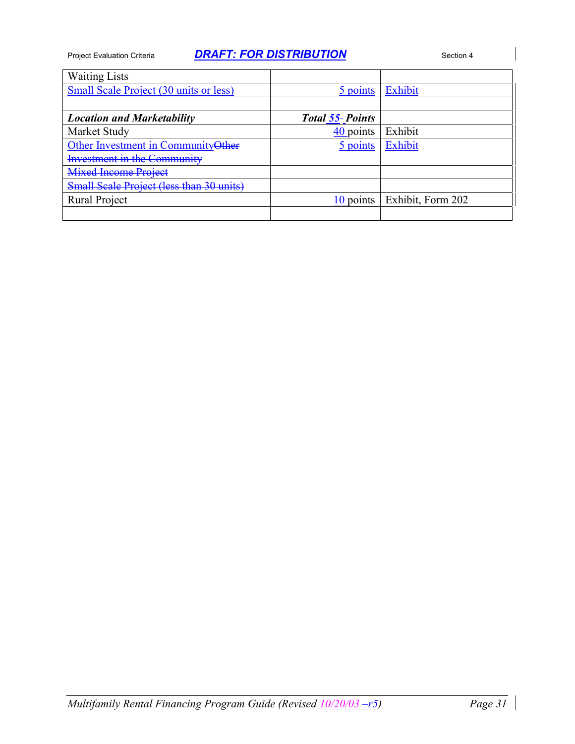| <b>Waiting Lists</b>                     |                 |                   |
|------------------------------------------|-----------------|-------------------|
| Small Scale Project (30 units or less)   | 5 points        | Exhibit           |
|                                          |                 |                   |
| <b>Location and Marketability</b>        | Total 55-Points |                   |
| Market Study                             | 40 points       | Exhibit           |
| Other Investment in Community Other      | 5 points        | Exhibit           |
| <b>Investment in the Community</b>       |                 |                   |
| <b>Mixed Income Project</b>              |                 |                   |
| Small Scale Project (less than 30 units) |                 |                   |
| <b>Rural Project</b>                     | 10 points       | Exhibit, Form 202 |
|                                          |                 |                   |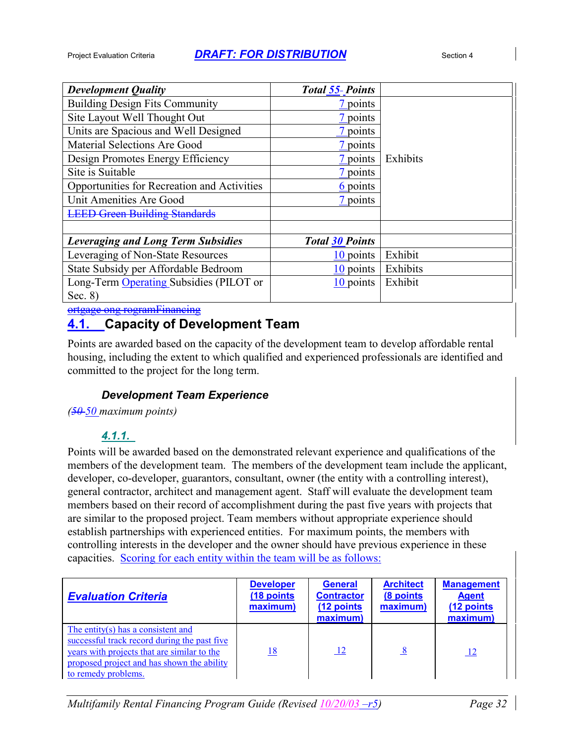| <b>Development Quality</b>                  | <b>Total 55-Points</b> |          |
|---------------------------------------------|------------------------|----------|
| <b>Building Design Fits Community</b>       | 7 points               |          |
| Site Layout Well Thought Out                | 7 points               |          |
| Units are Spacious and Well Designed        | points                 |          |
| Material Selections Are Good                | 7 points               |          |
| Design Promotes Energy Efficiency           | 7 points               | Exhibits |
| Site is Suitable                            | 7 points               |          |
| Opportunities for Recreation and Activities | 6 points               |          |
| Unit Amenities Are Good                     | 7 points               |          |
| <b>LEED Green Building Standards</b>        |                        |          |
|                                             |                        |          |
| <b>Leveraging and Long Term Subsidies</b>   | <b>Total 30 Points</b> |          |
| Leveraging of Non-State Resources           | 10 points              | Exhibit  |
| State Subsidy per Affordable Bedroom        | 10 points              | Exhibits |
| Long-Term Operating Subsidies (PILOT or     | 10 points              | Exhibit  |
| Sec. $8)$                                   |                        |          |

ortgage ong rogramFinancing

## **4.1. Capacity of Development Team**

Points are awarded based on the capacity of the development team to develop affordable rental housing, including the extent to which qualified and experienced professionals are identified and committed to the project for the long term.

### *Development Team Experience*

*(50 50 maximum points)*

### *4.1.1.*

Points will be awarded based on the demonstrated relevant experience and qualifications of the members of the development team. The members of the development team include the applicant, developer, co-developer, guarantors, consultant, owner (the entity with a controlling interest), general contractor, architect and management agent. Staff will evaluate the development team members based on their record of accomplishment during the past five years with projects that are similar to the proposed project. Team members without appropriate experience should establish partnerships with experienced entities. For maximum points, the members with controlling interests in the developer and the owner should have previous experience in these capacities. Scoring for each entity within the team will be as follows:

| <b>Evaluation Criteria</b>                                                                                                                                                                             | <b>Developer</b><br>(18 points)<br>maximum) | <b>General</b><br><b>Contractor</b><br>(12 points<br>maximum) | <b>Architect</b><br>(8 points)<br>maximum) | <b>Management</b><br><b>Agent</b><br>(12 points<br>maximum) |
|--------------------------------------------------------------------------------------------------------------------------------------------------------------------------------------------------------|---------------------------------------------|---------------------------------------------------------------|--------------------------------------------|-------------------------------------------------------------|
| The entity(s) has a consistent and<br>successful track record during the past five<br>years with projects that are similar to the<br>proposed project and has shown the ability<br>to remedy problems. | <u>18</u>                                   | $\perp$                                                       | $\frac{8}{2}$                              | <u> 12</u>                                                  |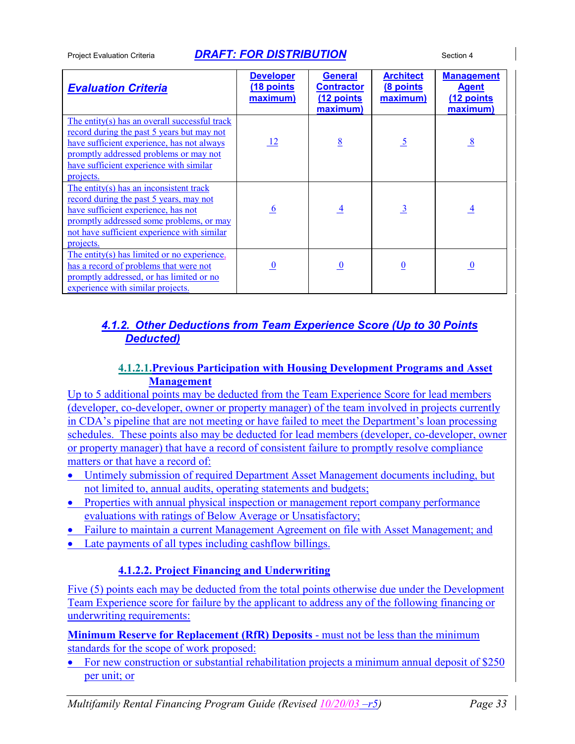| <b>Evaluation Criteria</b>                                                                                                                                                                                                                  | <b>Developer</b><br>(18 points)<br>maximum) | <b>General</b><br><b>Contractor</b><br>(12 points<br>maximum) | <b>Architect</b><br>(8 points<br>maximum) | <b>Management</b><br><b>Agent</b><br>(12 points<br>maximum) |
|---------------------------------------------------------------------------------------------------------------------------------------------------------------------------------------------------------------------------------------------|---------------------------------------------|---------------------------------------------------------------|-------------------------------------------|-------------------------------------------------------------|
| The entity(s) has an overall successful track<br>record during the past 5 years but may not<br>have sufficient experience, has not always<br>promptly addressed problems or may not<br>have sufficient experience with similar<br>projects. | $\frac{12}{2}$                              | 8                                                             | $\overline{5}$                            | 8                                                           |
| The entity(s) has an inconsistent track<br>record during the past 5 years, may not<br>have sufficient experience, has not<br>promptly addressed some problems, or may<br>not have sufficient experience with similar<br>projects.           | -6                                          | $\overline{4}$                                                | $\overline{\mathbf{3}}$                   | $\overline{4}$                                              |
| The entity(s) has limited or no experience,<br>has a record of problems that were not<br>promptly addressed, or has limited or no<br>experience with similar projects.                                                                      | $\bf{0}$                                    | $\overline{0}$                                                | $\bf{0}$                                  | $\overline{0}$                                              |

### *4.1.2. Other Deductions from Team Experience Score (Up to 30 Points Deducted)*

### **4.1.2.1.Previous Participation with Housing Development Programs and Asset Management**

Up to 5 additional points may be deducted from the Team Experience Score for lead members (developer, co-developer, owner or property manager) of the team involved in projects currently in CDA's pipeline that are not meeting or have failed to meet the Department's loan processing schedules. These points also may be deducted for lead members (developer, co-developer, owner or property manager) that have a record of consistent failure to promptly resolve compliance matters or that have a record of:

- Untimely submission of required Department Asset Management documents including, but not limited to, annual audits, operating statements and budgets;
- Properties with annual physical inspection or management report company performance evaluations with ratings of Below Average or Unsatisfactory;
- Failure to maintain a current Management Agreement on file with Asset Management; and
- Late payments of all types including cashflow billings.

### **4.1.2.2. Project Financing and Underwriting**

Five (5) points each may be deducted from the total points otherwise due under the Development Team Experience score for failure by the applicant to address any of the following financing or underwriting requirements:

**Minimum Reserve for Replacement (RfR) Deposits** - must not be less than the minimum standards for the scope of work proposed:

• For new construction or substantial rehabilitation projects a minimum annual deposit of \$250 per unit; or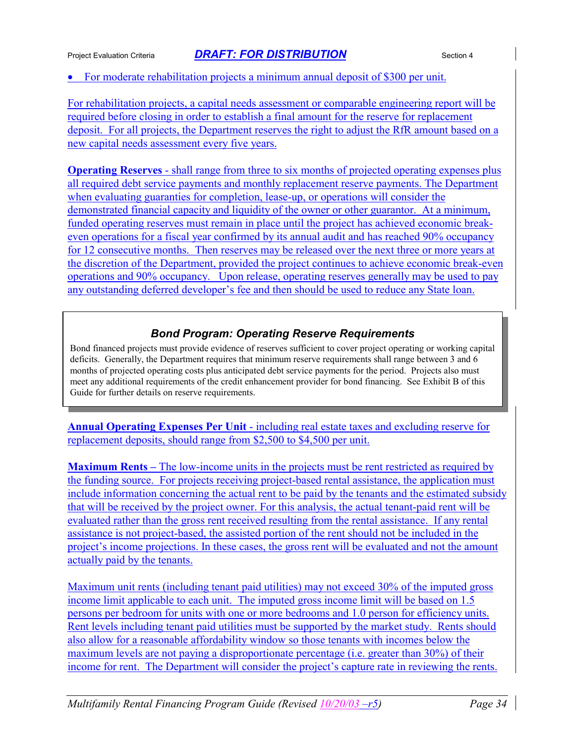#### For moderate rehabilitation projects a minimum annual deposit of \$300 per unit.

For rehabilitation projects, a capital needs assessment or comparable engineering report will be required before closing in order to establish a final amount for the reserve for replacement deposit. For all projects, the Department reserves the right to adjust the RfR amount based on a new capital needs assessment every five years.

**Operating Reserves** - shall range from three to six months of projected operating expenses plus all required debt service payments and monthly replacement reserve payments. The Department when evaluating guaranties for completion, lease-up, or operations will consider the demonstrated financial capacity and liquidity of the owner or other guarantor. At a minimum, funded operating reserves must remain in place until the project has achieved economic breakeven operations for a fiscal year confirmed by its annual audit and has reached 90% occupancy for 12 consecutive months. Then reserves may be released over the next three or more years at the discretion of the Department, provided the project continues to achieve economic break-even operations and 90% occupancy. Upon release, operating reserves generally may be used to pay any outstanding deferred developer's fee and then should be used to reduce any State loan.

### *Bond Program: Operating Reserve Requirements*

Bond financed projects must provide evidence of reserves sufficient to cover project operating or working capital deficits. Generally, the Department requires that minimum reserve requirements shall range between 3 and 6 months of projected operating costs plus anticipated debt service payments for the period. Projects also must meet any additional requirements of the credit enhancement provider for bond financing. See Exhibit B of this Guide for further details on reserve requirements.

**Annual Operating Expenses Per Unit** - including real estate taxes and excluding reserve for replacement deposits, should range from \$2,500 to \$4,500 per unit.

**Maximum Rents –** The low-income units in the projects must be rent restricted as required by the funding source. For projects receiving project-based rental assistance, the application must include information concerning the actual rent to be paid by the tenants and the estimated subsidy that will be received by the project owner. For this analysis, the actual tenant-paid rent will be evaluated rather than the gross rent received resulting from the rental assistance. If any rental assistance is not project-based, the assisted portion of the rent should not be included in the project's income projections. In these cases, the gross rent will be evaluated and not the amount actually paid by the tenants.

Maximum unit rents (including tenant paid utilities) may not exceed 30% of the imputed gross income limit applicable to each unit. The imputed gross income limit will be based on 1.5 persons per bedroom for units with one or more bedrooms and 1.0 person for efficiency units. Rent levels including tenant paid utilities must be supported by the market study. Rents should also allow for a reasonable affordability window so those tenants with incomes below the maximum levels are not paying a disproportionate percentage (i.e. greater than 30%) of their income for rent. The Department will consider the project's capture rate in reviewing the rents.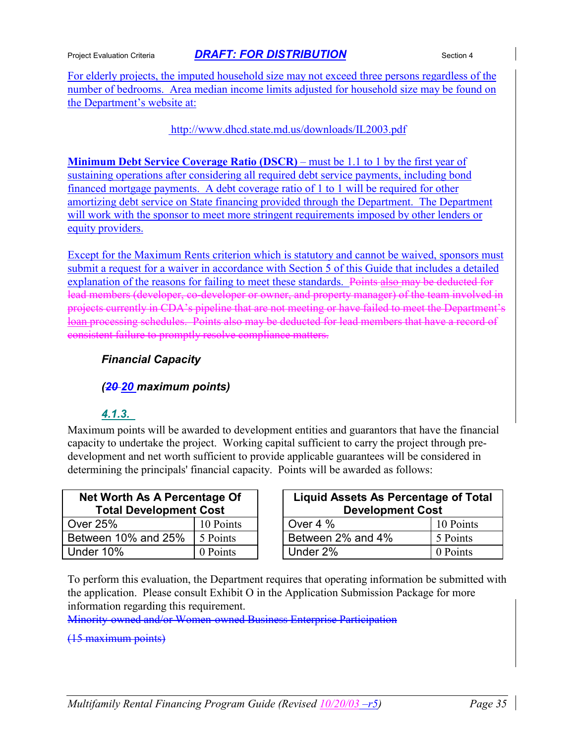For elderly projects, the imputed household size may not exceed three persons regardless of the number of bedrooms. Area median income limits adjusted for household size may be found on the Department's website at:

http://www.dhcd.state.md.us/downloads/IL2003.pdf

**Minimum Debt Service Coverage Ratio (DSCR)** – must be 1.1 to 1 by the first year of sustaining operations after considering all required debt service payments, including bond financed mortgage payments. A debt coverage ratio of 1 to 1 will be required for other amortizing debt service on State financing provided through the Department. The Department will work with the sponsor to meet more stringent requirements imposed by other lenders or equity providers.

Except for the Maximum Rents criterion which is statutory and cannot be waived, sponsors must submit a request for a waiver in accordance with Section 5 of this Guide that includes a detailed explanation of the reasons for failing to meet these standards. Points also may be deducted for lead members (developer, co-developer or owner, and property manager) of the team involved in projects currently in CDA's pipeline that are not meeting or have failed to meet the Department's loan processing schedules. Points also may be deducted for lead members that have a record of consistent failure to promptly resolve compliance matters.

#### *Financial Capacity*

#### *(20 20 maximum points)*

#### *4.1.3.*

Maximum points will be awarded to development entities and guarantors that have the financial capacity to undertake the project. Working capital sufficient to carry the project through predevelopment and net worth sufficient to provide applicable guarantees will be considered in determining the principals' financial capacity. Points will be awarded as follows:

| Net Worth As A Percentage Of<br><b>Total Development Cost</b> |           | Liquid Assets As Percentage of T<br><b>Development Cost</b> |          |
|---------------------------------------------------------------|-----------|-------------------------------------------------------------|----------|
| Over 25%                                                      | 10 Points | Over 4 %                                                    | 10 Point |
| Between 10% and 25%                                           | 5 Points  | Between 2% and 4%                                           | 5 Points |
| Under 10%                                                     | 0 Points  | Under 2%                                                    | 0 Points |

| <b>Net Worth As A Percentage Of</b><br><b>Total Development Cost</b> |           | Liquid Assets As Percentage of Total<br><b>Development Cost</b> |                   |           |
|----------------------------------------------------------------------|-----------|-----------------------------------------------------------------|-------------------|-----------|
| Over 25%                                                             | 10 Points |                                                                 | Over 4 $%$        | 10 Points |
| Between 10% and 25%                                                  | 5 Points  |                                                                 | Between 2% and 4% | 5 Points  |
| Under 10%                                                            | 0 Points  |                                                                 | Under 2%          | 0 Points  |

To perform this evaluation, the Department requires that operating information be submitted with the application. Please consult Exhibit O in the Application Submission Package for more information regarding this requirement.

Minority-owned and/or Women-owned Business Enterprise Participation

#### (15 maximum points)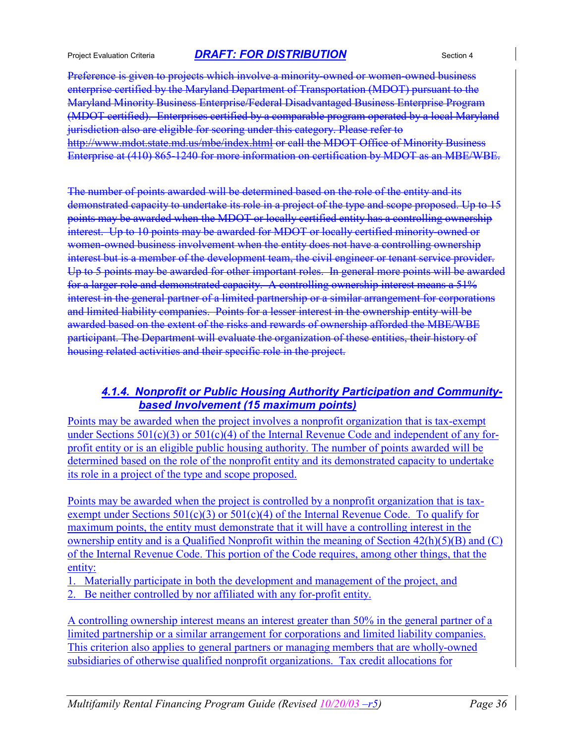Preference is given to projects which involve a minority-owned or women-owned business enterprise certified by the Maryland Department of Transportation (MDOT) pursuant to the Maryland Minority Business Enterprise/Federal Disadvantaged Business Enterprise Program (MDOT certified). Enterprises certified by a comparable program operated by a local Maryland jurisdiction also are eligible for scoring under this category. Please refer to http://www.mdot.state.md.us/mbe/index.html or call the MDOT Office of Minority Business Enterprise at (410) 865-1240 for more information on certification by MDOT as an MBE/WBE.

The number of points awarded will be determined based on the role of the entity and its demonstrated capacity to undertake its role in a project of the type and scope proposed. Up to 15 points may be awarded when the MDOT or locally certified entity has a controlling ownership interest. Up to 10 points may be awarded for MDOT or locally certified minority-owned or women-owned business involvement when the entity does not have a controlling ownership interest but is a member of the development team, the civil engineer or tenant service provider. Up to 5 points may be awarded for other important roles. In general more points will be awarded for a larger role and demonstrated capacity. A controlling ownership interest means a 51% interest in the general partner of a limited partnership or a similar arrangement for corporations and limited liability companies. Points for a lesser interest in the ownership entity will be awarded based on the extent of the risks and rewards of ownership afforded the MBE/WBE participant. The Department will evaluate the organization of these entities, their history of housing related activities and their specific role in the project.

### *4.1.4. Nonprofit or Public Housing Authority Participation and Communitybased Involvement (15 maximum points)*

Points may be awarded when the project involves a nonprofit organization that is tax-exempt under Sections 501(c)(3) or 501(c)(4) of the Internal Revenue Code and independent of any forprofit entity or is an eligible public housing authority. The number of points awarded will be determined based on the role of the nonprofit entity and its demonstrated capacity to undertake its role in a project of the type and scope proposed.

Points may be awarded when the project is controlled by a nonprofit organization that is taxexempt under Sections  $501(c)(3)$  or  $501(c)(4)$  of the Internal Revenue Code. To qualify for maximum points, the entity must demonstrate that it will have a controlling interest in the ownership entity and is a Qualified Nonprofit within the meaning of Section 42(h)(5)(B) and (C) of the Internal Revenue Code. This portion of the Code requires, among other things, that the entity:

1. Materially participate in both the development and management of the project, and Be neither controlled by nor affiliated with any for-profit entity.

A controlling ownership interest means an interest greater than 50% in the general partner of a limited partnership or a similar arrangement for corporations and limited liability companies. This criterion also applies to general partners or managing members that are wholly-owned subsidiaries of otherwise qualified nonprofit organizations. Tax credit allocations for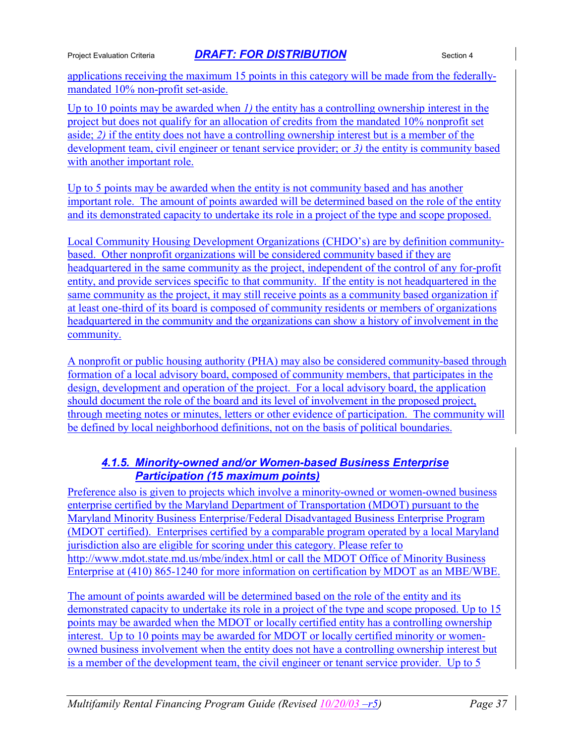applications receiving the maximum 15 points in this category will be made from the federallymandated 10% non-profit set-aside.

Up to 10 points may be awarded when *1)* the entity has a controlling ownership interest in the project but does not qualify for an allocation of credits from the mandated 10% nonprofit set aside; *2)* if the entity does not have a controlling ownership interest but is a member of the development team, civil engineer or tenant service provider; or *3)* the entity is community based with another important role.

Up to 5 points may be awarded when the entity is not community based and has another important role. The amount of points awarded will be determined based on the role of the entity and its demonstrated capacity to undertake its role in a project of the type and scope proposed.

Local Community Housing Development Organizations (CHDO's) are by definition communitybased. Other nonprofit organizations will be considered community based if they are headquartered in the same community as the project, independent of the control of any for-profit entity, and provide services specific to that community. If the entity is not headquartered in the same community as the project, it may still receive points as a community based organization if at least one-third of its board is composed of community residents or members of organizations headquartered in the community and the organizations can show a history of involvement in the community.

A nonprofit or public housing authority (PHA) may also be considered community-based through formation of a local advisory board, composed of community members, that participates in the design, development and operation of the project. For a local advisory board, the application should document the role of the board and its level of involvement in the proposed project, through meeting notes or minutes, letters or other evidence of participation. The community will be defined by local neighborhood definitions, not on the basis of political boundaries.

### *4.1.5. Minority-owned and/or Women-based Business Enterprise Participation (15 maximum points)*

Preference also is given to projects which involve a minority-owned or women-owned business enterprise certified by the Maryland Department of Transportation (MDOT) pursuant to the Maryland Minority Business Enterprise/Federal Disadvantaged Business Enterprise Program (MDOT certified). Enterprises certified by a comparable program operated by a local Maryland jurisdiction also are eligible for scoring under this category. Please refer to http://www.mdot.state.md.us/mbe/index.html or call the MDOT Office of Minority Business Enterprise at (410) 865-1240 for more information on certification by MDOT as an MBE/WBE.

The amount of points awarded will be determined based on the role of the entity and its demonstrated capacity to undertake its role in a project of the type and scope proposed. Up to 15 points may be awarded when the MDOT or locally certified entity has a controlling ownership interest. Up to 10 points may be awarded for MDOT or locally certified minority or womenowned business involvement when the entity does not have a controlling ownership interest but is a member of the development team, the civil engineer or tenant service provider. Up to 5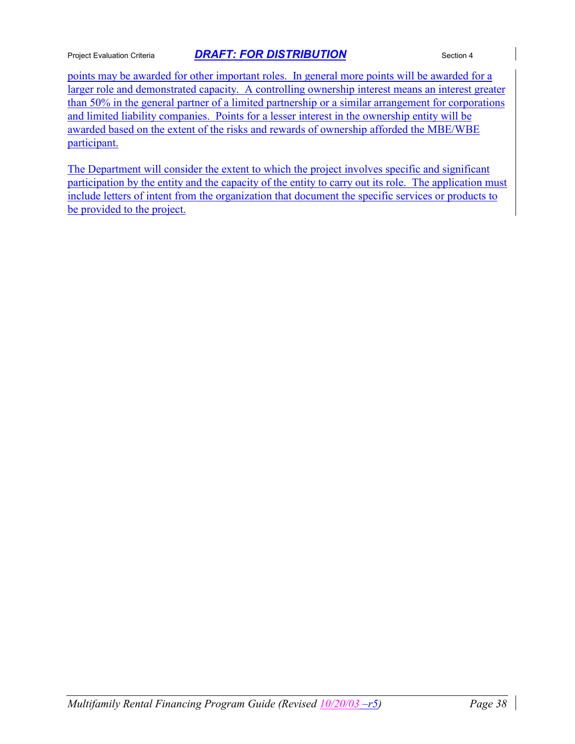points may be awarded for other important roles. In general more points will be awarded for a larger role and demonstrated capacity. A controlling ownership interest means an interest greater than 50% in the general partner of a limited partnership or a similar arrangement for corporations and limited liability companies. Points for a lesser interest in the ownership entity will be awarded based on the extent of the risks and rewards of ownership afforded the MBE/WBE participant.

The Department will consider the extent to which the project involves specific and significant participation by the entity and the capacity of the entity to carry out its role. The application must include letters of intent from the organization that document the specific services or products to be provided to the project.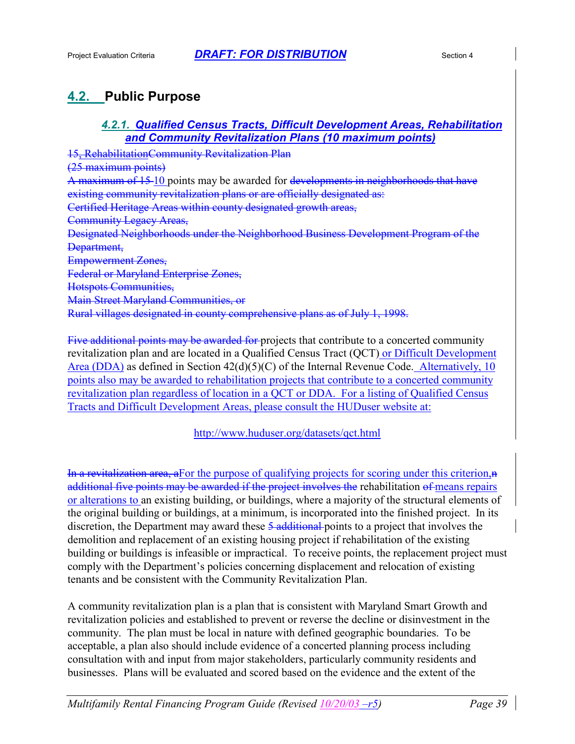# **4.2. Public Purpose**

### *4.2.1. Qualified Census Tracts, Difficult Development Areas, Rehabilitation and Community Revitalization Plans (10 maximum points)*

15, RehabilitationCommunity Revitalization Plan (25 maximum points) A maximum of 15-10 points may be awarded for developments in neighborhoods that have existing community revitalization plans or are officially designated as: Certified Heritage Areas within county designated growth areas, Community Legacy Areas, Designated Neighborhoods under the Neighborhood Business Development Program of the Department, Empowerment Zones, Federal or Maryland Enterprise Zones, Hotspots Communities, Main Street Maryland Communities, or Rural villages designated in county comprehensive plans as of July 1, 1998.

Five additional points may be awarded for projects that contribute to a concerted community revitalization plan and are located in a Qualified Census Tract (QCT) or Difficult Development Area (DDA) as defined in Section 42(d)(5)(C) of the Internal Revenue Code. Alternatively, 10 points also may be awarded to rehabilitation projects that contribute to a concerted community revitalization plan regardless of location in a QCT or DDA. For a listing of Qualified Census Tracts and Difficult Development Areas, please consult the HUDuser website at:

### http://www.huduser.org/datasets/qct.html

In a revitalization area, after the purpose of qualifying projects for scoring under this criterion, $\bf{a}$ additional five points may be awarded if the project involves the rehabilitation of means repairs or alterations to an existing building, or buildings, where a majority of the structural elements of the original building or buildings, at a minimum, is incorporated into the finished project. In its discretion, the Department may award these 5 additional points to a project that involves the demolition and replacement of an existing housing project if rehabilitation of the existing building or buildings is infeasible or impractical. To receive points, the replacement project must comply with the Department's policies concerning displacement and relocation of existing tenants and be consistent with the Community Revitalization Plan.

A community revitalization plan is a plan that is consistent with Maryland Smart Growth and revitalization policies and established to prevent or reverse the decline or disinvestment in the community. The plan must be local in nature with defined geographic boundaries. To be acceptable, a plan also should include evidence of a concerted planning process including consultation with and input from major stakeholders, particularly community residents and businesses. Plans will be evaluated and scored based on the evidence and the extent of the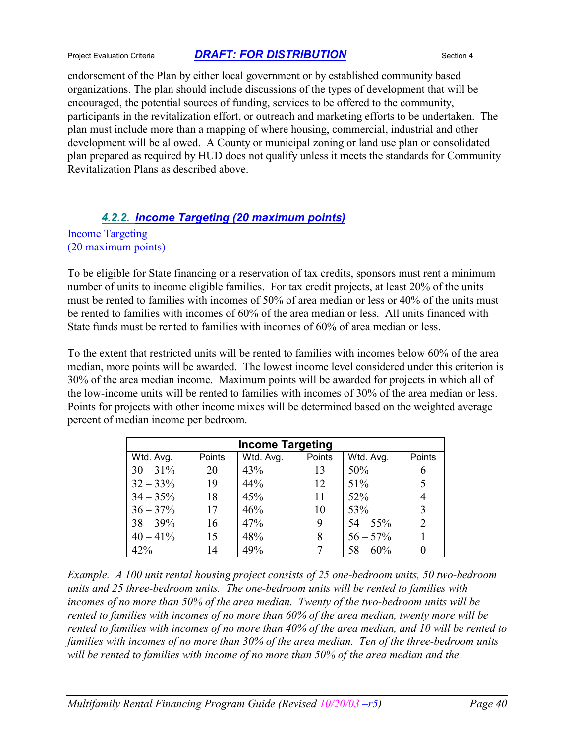endorsement of the Plan by either local government or by established community based organizations. The plan should include discussions of the types of development that will be encouraged, the potential sources of funding, services to be offered to the community, participants in the revitalization effort, or outreach and marketing efforts to be undertaken. The plan must include more than a mapping of where housing, commercial, industrial and other development will be allowed. A County or municipal zoning or land use plan or consolidated plan prepared as required by HUD does not qualify unless it meets the standards for Community Revitalization Plans as described above.

### *4.2.2. Income Targeting (20 maximum points)*

Income Targeting (20 maximum points)

To be eligible for State financing or a reservation of tax credits, sponsors must rent a minimum number of units to income eligible families. For tax credit projects, at least 20% of the units must be rented to families with incomes of 50% of area median or less or 40% of the units must be rented to families with incomes of 60% of the area median or less. All units financed with State funds must be rented to families with incomes of 60% of area median or less.

To the extent that restricted units will be rented to families with incomes below 60% of the area median, more points will be awarded. The lowest income level considered under this criterion is 30% of the area median income. Maximum points will be awarded for projects in which all of the low-income units will be rented to families with incomes of 30% of the area median or less. Points for projects with other income mixes will be determined based on the weighted average percent of median income per bedroom.

| <b>Income Targeting</b> |        |           |        |             |                |  |  |
|-------------------------|--------|-----------|--------|-------------|----------------|--|--|
| Wtd. Avg.               | Points | Wtd. Avg. | Points | Wtd. Avg.   | Points         |  |  |
| $30 - 31\%$             | 20     | 43%       | 13     | 50%         | 6              |  |  |
| $32 - 33\%$             | 19     | 44%       | 12     | 51%         | 5              |  |  |
| $34 - 35\%$             | 18     | 45%       | 11     | 52%         | 4              |  |  |
| $36 - 37\%$             | 17     | 46%       | 10     | 53%         | 3              |  |  |
| $38 - 39\%$             | 16     | 47%       | 9      | $54 - 55\%$ | $\overline{2}$ |  |  |
| $40 - 41\%$             | 15     | 48%       | 8      | $56 - 57\%$ |                |  |  |
| 42%                     | 14     | 49%       |        | $58 - 60\%$ |                |  |  |

*Example. A 100 unit rental housing project consists of 25 one-bedroom units, 50 two-bedroom units and 25 three-bedroom units. The one-bedroom units will be rented to families with incomes of no more than 50% of the area median. Twenty of the two-bedroom units will be rented to families with incomes of no more than 60% of the area median, twenty more will be rented to families with incomes of no more than 40% of the area median, and 10 will be rented to families with incomes of no more than 30% of the area median. Ten of the three-bedroom units will be rented to families with income of no more than 50% of the area median and the*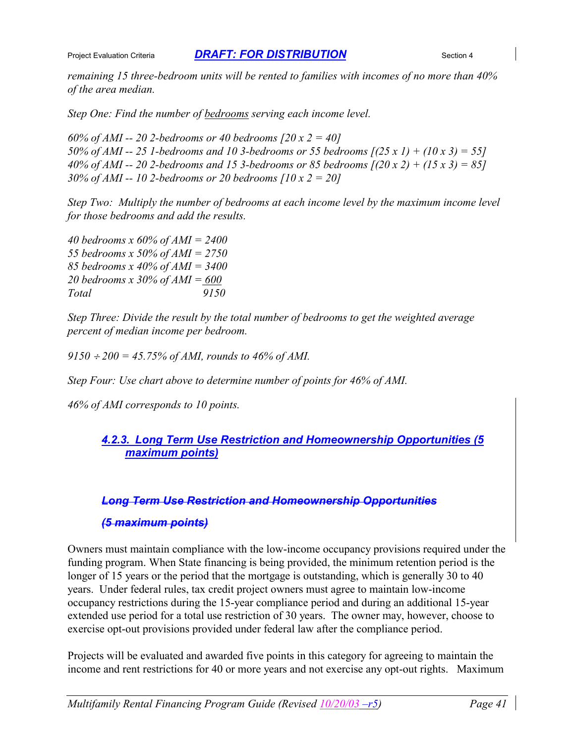*remaining 15 three-bedroom units will be rented to families with incomes of no more than 40% of the area median.*

*Step One: Find the number of bedrooms serving each income level.*

*60% of AMI -- 20 2-bedrooms or 40 bedrooms [20 x 2 = 40] 50% of AMI -- 25 1-bedrooms and 10 3-bedrooms or 55 bedrooms [(25 x 1) + (10 x 3) = 55] 40% of AMI -- 20 2-bedrooms and 15 3-bedrooms or 85 bedrooms [(20 x 2) + (15 x 3) = 85] 30% of AMI -- 10 2-bedrooms or 20 bedrooms [10 x 2 = 20]*

*Step Two: Multiply the number of bedrooms at each income level by the maximum income level for those bedrooms and add the results.*

*40 bedrooms x 60% of AMI = 2400 55 bedrooms x 50% of AMI = 2750 85 bedrooms x 40% of AMI = 3400 20 bedrooms x 30% of AMI = 600 Total 9150*

*Step Three: Divide the result by the total number of bedrooms to get the weighted average percent of median income per bedroom.*

*9150 200 = 45.75% of AMI, rounds to 46% of AMI.*

*Step Four: Use chart above to determine number of points for 46% of AMI.*

*46% of AMI corresponds to 10 points.*

### *4.2.3. Long Term Use Restriction and Homeownership Opportunities (5 maximum points)*

#### *Long Term Use Restriction and Homeownership Opportunities*

#### *(5 maximum points)*

Owners must maintain compliance with the low-income occupancy provisions required under the funding program. When State financing is being provided, the minimum retention period is the longer of 15 years or the period that the mortgage is outstanding, which is generally 30 to 40 years. Under federal rules, tax credit project owners must agree to maintain low-income occupancy restrictions during the 15-year compliance period and during an additional 15-year extended use period for a total use restriction of 30 years. The owner may, however, choose to exercise opt-out provisions provided under federal law after the compliance period.

Projects will be evaluated and awarded five points in this category for agreeing to maintain the income and rent restrictions for 40 or more years and not exercise any opt-out rights. Maximum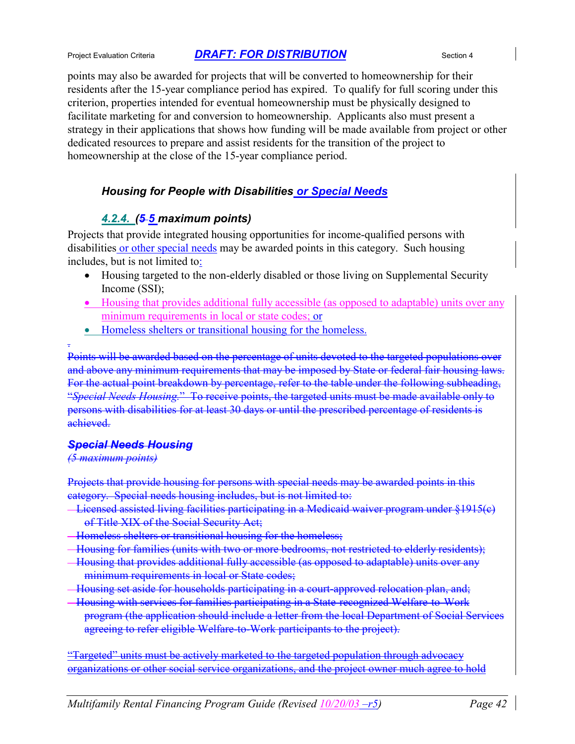points may also be awarded for projects that will be converted to homeownership for their residents after the 15-year compliance period has expired. To qualify for full scoring under this criterion, properties intended for eventual homeownership must be physically designed to facilitate marketing for and conversion to homeownership. Applicants also must present a strategy in their applications that shows how funding will be made available from project or other dedicated resources to prepare and assist residents for the transition of the project to homeownership at the close of the 15-year compliance period.

### *Housing for People with Disabilities or Special Needs*

### *4.2.4. (5 5 maximum points)*

Projects that provide integrated housing opportunities for income-qualified persons with disabilities or other special needs may be awarded points in this category. Such housing includes, but is not limited to:

- Housing targeted to the non-elderly disabled or those living on Supplemental Security Income (SSI);
- Housing that provides additional fully accessible (as opposed to adaptable) units over any minimum requirements in local or state codes; or
- Homeless shelters or transitional housing for the homeless.

Points will be awarded based on the percentage of units devoted to the targeted populations over and above any minimum requirements that may be imposed by State or federal fair housing laws. For the actual point breakdown by percentage, refer to the table under the following subheading, "*Special Needs Housing.*" To receive points, the targeted units must be made available only to persons with disabilities for at least 30 days or until the prescribed percentage of residents is achieved.

#### *Special Needs Housing*

#### *(5 maximum points)*

.

Projects that provide housing for persons with special needs may be awarded points in this category. Special needs housing includes, but is not limited to:

- Licensed assisted living facilities participating in a Medicaid waiver program under §1915(c) of Title XIX of the Social Security Act;
- Homeless shelters or transitional housing for the homeless;
- Housing for families (units with two or more bedrooms, not restricted to elderly residents);
- Housing that provides additional fully accessible (as opposed to adaptable) units over any minimum requirements in local or State codes;
- Housing set aside for households participating in a court-approved relocation plan, and;
- Housing with services for families participating in a State-recognized Welfare-to-Work program (the application should include a letter from the local Department of Social Services agreeing to refer eligible Welfare-to-Work participants to the project).

"Targeted" units must be actively marketed to the targeted population through advocacy organizations or other social service organizations, and the project owner much agree to hold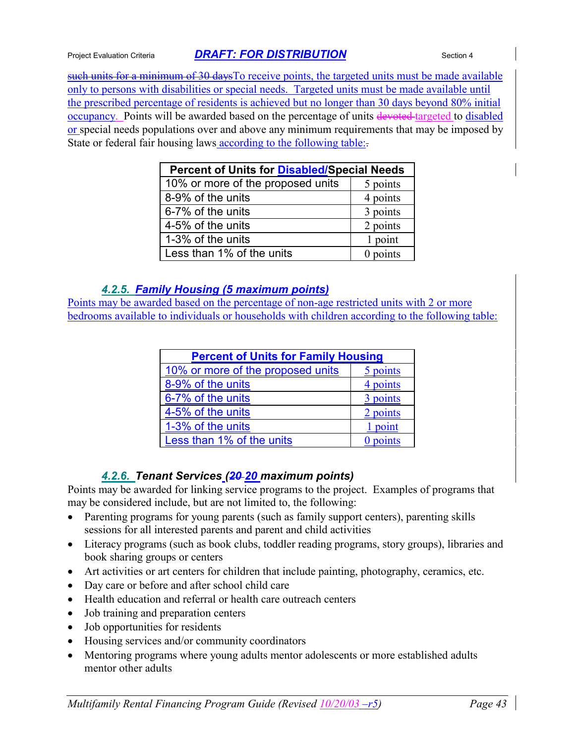such units for a minimum of 30 days To receive points, the targeted units must be made available only to persons with disabilities or special needs. Targeted units must be made available until the prescribed percentage of residents is achieved but no longer than 30 days beyond 80% initial occupancy. Points will be awarded based on the percentage of units devoted targeted to disabled or special needs populations over and above any minimum requirements that may be imposed by State or federal fair housing laws according to the following table:.

| <b>Percent of Units for Disabled/Special Needs</b> |            |  |
|----------------------------------------------------|------------|--|
| 10% or more of the proposed units                  | 5 points   |  |
| 8-9% of the units                                  | 4 points   |  |
| 6-7% of the units                                  | 3 points   |  |
| 4-5% of the units                                  | 2 points   |  |
| 1-3% of the units                                  | 1 point    |  |
| Less than 1% of the units                          | $0$ points |  |

### *4.2.5. Family Housing (5 maximum points)*

Points may be awarded based on the percentage of non-age restricted units with 2 or more bedrooms available to individuals or households with children according to the following table:

| <b>Percent of Units for Family Housing</b> |          |  |
|--------------------------------------------|----------|--|
| 10% or more of the proposed units          | 5 points |  |
| 8-9% of the units                          | 4 points |  |
| 6-7% of the units                          | 3 points |  |
| 4-5% of the units                          | 2 points |  |
| 1-3% of the units                          | 1 point  |  |
| Less than 1% of the units                  | points   |  |

### *4.2.6. Tenant Services (20 20 maximum points)*

Points may be awarded for linking service programs to the project. Examples of programs that may be considered include, but are not limited to, the following:

- Parenting programs for young parents (such as family support centers), parenting skills sessions for all interested parents and parent and child activities
- Literacy programs (such as book clubs, toddler reading programs, story groups), libraries and book sharing groups or centers
- Art activities or art centers for children that include painting, photography, ceramics, etc.
- Day care or before and after school child care
- Health education and referral or health care outreach centers
- Job training and preparation centers
- Job opportunities for residents
- Housing services and/or community coordinators
- Mentoring programs where young adults mentor adolescents or more established adults mentor other adults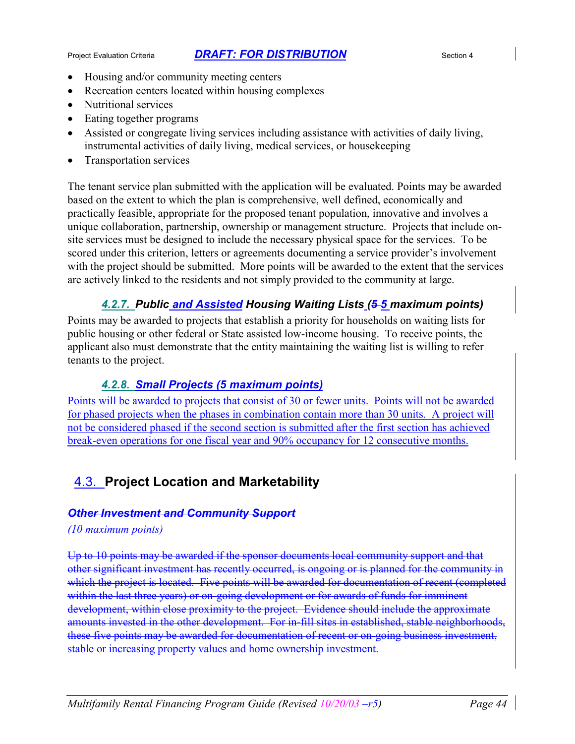- Housing and/or community meeting centers
- Recreation centers located within housing complexes
- Nutritional services
- Eating together programs
- Assisted or congregate living services including assistance with activities of daily living, instrumental activities of daily living, medical services, or housekeeping
- Transportation services

The tenant service plan submitted with the application will be evaluated. Points may be awarded based on the extent to which the plan is comprehensive, well defined, economically and practically feasible, appropriate for the proposed tenant population, innovative and involves a unique collaboration, partnership, ownership or management structure. Projects that include onsite services must be designed to include the necessary physical space for the services. To be scored under this criterion, letters or agreements documenting a service provider's involvement with the project should be submitted. More points will be awarded to the extent that the services are actively linked to the residents and not simply provided to the community at large.

### *4.2.7. Public and Assisted Housing Waiting Lists (5 5 maximum points)*

Points may be awarded to projects that establish a priority for households on waiting lists for public housing or other federal or State assisted low-income housing. To receive points, the applicant also must demonstrate that the entity maintaining the waiting list is willing to refer tenants to the project.

### *4.2.8. Small Projects (5 maximum points)*

Points will be awarded to projects that consist of 30 or fewer units. Points will not be awarded for phased projects when the phases in combination contain more than 30 units. A project will not be considered phased if the second section is submitted after the first section has achieved break-even operations for one fiscal year and 90% occupancy for 12 consecutive months.

## 4.3. **Project Location and Marketability**

### *Other Investment and Community Support*

#### *(10 maximum points)*

Up to 10 points may be awarded if the sponsor documents local community support and that other significant investment has recently occurred, is ongoing or is planned for the community in which the project is located. Five points will be awarded for documentation of recent (completed within the last three years) or on-going development or for awards of funds for imminent development, within close proximity to the project. Evidence should include the approximate amounts invested in the other development. For in-fill sites in established, stable neighborhoods, these five points may be awarded for documentation of recent or on-going business investment, stable or increasing property values and home ownership investment.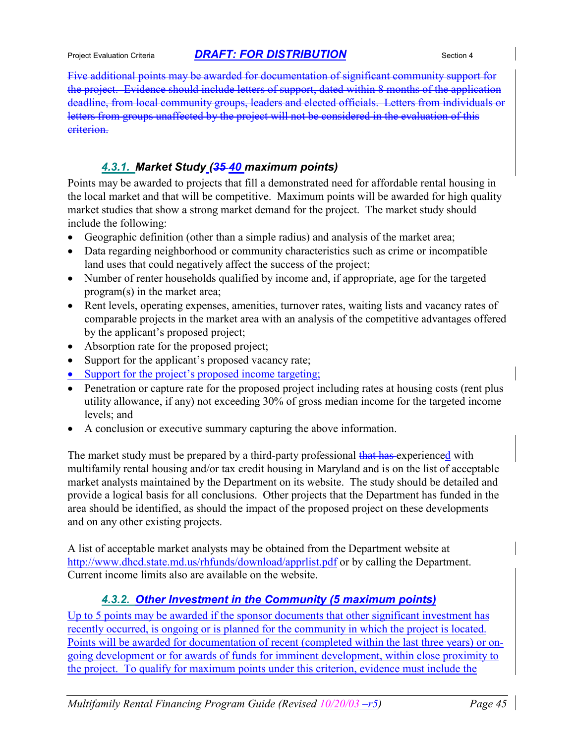Five additional points may be awarded for documentation of significant community support for the project. Evidence should include letters of support, dated within 8 months of the application deadline, from local community groups, leaders and elected officials. Letters from individuals or letters from groups unaffected by the project will not be considered in the evaluation of this criterion.

### *4.3.1. Market Study (35 40 maximum points)*

Points may be awarded to projects that fill a demonstrated need for affordable rental housing in the local market and that will be competitive.Maximum points will be awarded for high quality market studies that show a strong market demand for the project. The market study should include the following:

- Geographic definition (other than a simple radius) and analysis of the market area;
- Data regarding neighborhood or community characteristics such as crime or incompatible land uses that could negatively affect the success of the project;
- Number of renter households qualified by income and, if appropriate, age for the targeted program(s) in the market area;
- Rent levels, operating expenses, amenities, turnover rates, waiting lists and vacancy rates of comparable projects in the market area with an analysis of the competitive advantages offered by the applicant's proposed project;
- Absorption rate for the proposed project;
- Support for the applicant's proposed vacancy rate;
- Support for the project's proposed income targeting;
- Penetration or capture rate for the proposed project including rates at housing costs (rent plus utility allowance, if any) not exceeding 30% of gross median income for the targeted income levels; and
- A conclusion or executive summary capturing the above information.

The market study must be prepared by a third-party professional that has experienced with multifamily rental housing and/or tax credit housing in Maryland and is on the list of acceptable market analysts maintained by the Department on its website. The study should be detailed and provide a logical basis for all conclusions. Other projects that the Department has funded in the area should be identified, as should the impact of the proposed project on these developments and on any other existing projects.

A list of acceptable market analysts may be obtained from the Department website at http://www.dhcd.state.md.us/rhfunds/download/apprlist.pdf or by calling the Department. Current income limits also are available on the website.

### *4.3.2. Other Investment in the Community (5 maximum points)*

Up to 5 points may be awarded if the sponsor documents that other significant investment has recently occurred, is ongoing or is planned for the community in which the project is located. Points will be awarded for documentation of recent (completed within the last three years) or ongoing development or for awards of funds for imminent development, within close proximity to the project. To qualify for maximum points under this criterion, evidence must include the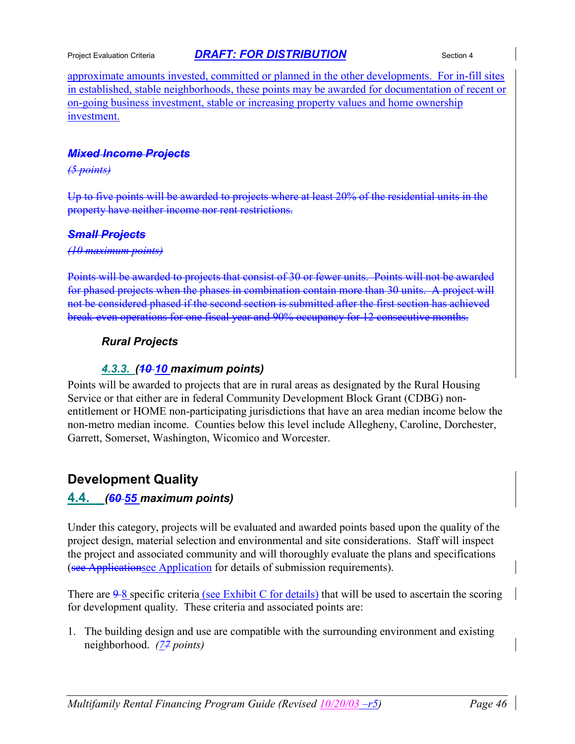approximate amounts invested, committed or planned in the other developments. For in-fill sites in established, stable neighborhoods, these points may be awarded for documentation of recent or on-going business investment, stable or increasing property values and home ownership investment.

#### *Mixed Income Projects*

#### *(5 points)*

Up to five points will be awarded to projects where at least 20% of the residential units in the property have neither income nor rent restrictions.

#### *Small Projects*

#### *(10 maximum points)*

Points will be awarded to projects that consist of 30 or fewer units. Points will not be awarded for phased projects when the phases in combination contain more than 30 units. A project will not be considered phased if the second section is submitted after the first section has achieved break-even operations for one fiscal year and 90% occupancy for 12 consecutive months.

### *Rural Projects*

#### *4.3.3. (10 10 maximum points)*

Points will be awarded to projects that are in rural areas as designated by the Rural Housing Service or that either are in federal Community Development Block Grant (CDBG) nonentitlement or HOME non-participating jurisdictions that have an area median income below the non-metro median income. Counties below this level include Allegheny, Caroline, Dorchester, Garrett, Somerset, Washington, Wicomico and Worcester.

### **Development Quality**

### **4.4.** *(60 55 maximum points)*

Under this category, projects will be evaluated and awarded points based upon the quality of the project design, material selection and environmental and site considerations. Staff will inspect the project and associated community and will thoroughly evaluate the plans and specifications (see Applicationsee Application for details of submission requirements).

There are  $9-8$  specific criteria (see Exhibit C for details) that will be used to ascertain the scoring for development quality. These criteria and associated points are:

1. The building design and use are compatible with the surrounding environment and existing neighborhood. *(77 points)*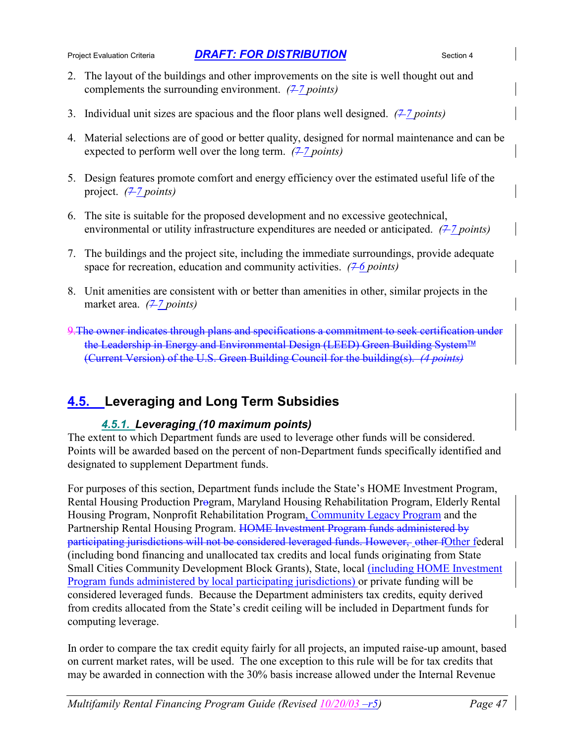- 2. The layout of the buildings and other improvements on the site is well thought out and complements the surrounding environment.  $(7\overline{7}$  points)
- 3. Individual unit sizes are spacious and the floor plans well designed. *(7 7 points)*
- 4. Material selections are of good or better quality, designed for normal maintenance and can be expected to perform well over the long term.  $(7\frac{7}{2}$  points)
- 5. Design features promote comfort and energy efficiency over the estimated useful life of the project. *(* $7$  *points*)
- 6. The site is suitable for the proposed development and no excessive geotechnical, environmental or utility infrastructure expenditures are needed or anticipated.  $(7 - 7 \text{ points})$
- 7. The buildings and the project site, including the immediate surroundings, provide adequate space for recreation, education and community activities.  $(76 \text{ points})$
- 8. Unit amenities are consistent with or better than amenities in other, similar projects in the market area. *(2-7 points)*
- 9. The owner indicates through plans and specifications a commitment to seek certification under the Leadership in Energy and Environmental Design (LEED) Green Building System<sup>™</sup> (Current Version) of the U.S. Green Building Council for the building(s). *(4 points)*

## **4.5. Leveraging and Long Term Subsidies**

### *4.5.1. Leveraging (10 maximum points)*

The extent to which Department funds are used to leverage other funds will be considered. Points will be awarded based on the percent of non-Department funds specifically identified and designated to supplement Department funds.

For purposes of this section, Department funds include the State's HOME Investment Program, Rental Housing Production Program, Maryland Housing Rehabilitation Program, Elderly Rental Housing Program, Nonprofit Rehabilitation Program, Community Legacy Program and the Partnership Rental Housing Program. HOME Investment Program funds administered by participating jurisdictions will not be considered leveraged funds. However, other fOther federal (including bond financing and unallocated tax credits and local funds originating from State Small Cities Community Development Block Grants), State, local (including HOME Investment Program funds administered by local participating jurisdictions) or private funding will be considered leveraged funds. Because the Department administers tax credits, equity derived from credits allocated from the State's credit ceiling will be included in Department funds for computing leverage.

In order to compare the tax credit equity fairly for all projects, an imputed raise-up amount, based on current market rates, will be used. The one exception to this rule will be for tax credits that may be awarded in connection with the 30% basis increase allowed under the Internal Revenue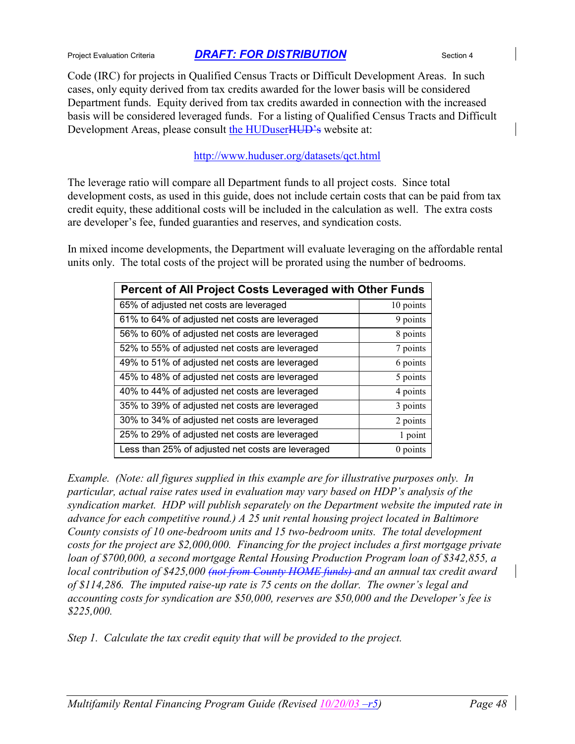Code (IRC) for projects in Qualified Census Tracts or Difficult Development Areas. In such cases, only equity derived from tax credits awarded for the lower basis will be considered Department funds. Equity derived from tax credits awarded in connection with the increased basis will be considered leveraged funds. For a listing of Qualified Census Tracts and Difficult Development Areas, please consult the HUDuser HUD's website at:

#### http://www.huduser.org/datasets/qct.html

The leverage ratio will compare all Department funds to all project costs. Since total development costs, as used in this guide, does not include certain costs that can be paid from tax credit equity, these additional costs will be included in the calculation as well. The extra costs are developer's fee, funded guaranties and reserves, and syndication costs.

In mixed income developments, the Department will evaluate leveraging on the affordable rental units only. The total costs of the project will be prorated using the number of bedrooms.

| Percent of All Project Costs Leveraged with Other Funds |           |  |
|---------------------------------------------------------|-----------|--|
| 65% of adjusted net costs are leveraged                 | 10 points |  |
| 61% to 64% of adjusted net costs are leveraged          | 9 points  |  |
| 56% to 60% of adjusted net costs are leveraged          | 8 points  |  |
| 52% to 55% of adjusted net costs are leveraged          | 7 points  |  |
| 49% to 51% of adjusted net costs are leveraged          | 6 points  |  |
| 45% to 48% of adjusted net costs are leveraged          | 5 points  |  |
| 40% to 44% of adjusted net costs are leveraged          | 4 points  |  |
| 35% to 39% of adjusted net costs are leveraged          | 3 points  |  |
| 30% to 34% of adjusted net costs are leveraged          | 2 points  |  |
| 25% to 29% of adjusted net costs are leveraged          | 1 point   |  |
| Less than 25% of adjusted net costs are leveraged       | 0 points  |  |

*Example. (Note: all figures supplied in this example are for illustrative purposes only. In particular, actual raise rates used in evaluation may vary based on HDP's analysis of the syndication market. HDP will publish separately on the Department website the imputed rate in advance for each competitive round.) A 25 unit rental housing project located in Baltimore County consists of 10 one-bedroom units and 15 two-bedroom units. The total development costs for the project are \$2,000,000. Financing for the project includes a first mortgage private loan of \$700,000, a second mortgage Rental Housing Production Program loan of \$342,855, a local contribution of \$425,000 (not from County HOME funds) and an annual tax credit award of \$114,286. The imputed raise-up rate is 75 cents on the dollar. The owner's legal and accounting costs for syndication are \$50,000, reserves are \$50,000 and the Developer's fee is \$225,000.*

*Step 1. Calculate the tax credit equity that will be provided to the project.*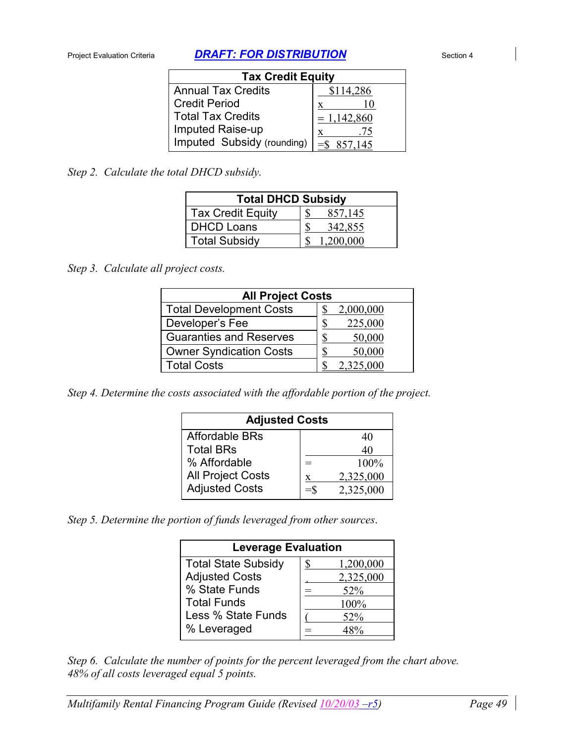| <b>Tax Credit Equity</b>   |               |  |
|----------------------------|---------------|--|
| <b>Annual Tax Credits</b>  | \$114,286     |  |
| <b>Credit Period</b>       | X             |  |
| Total Tax Credits          | $= 1,142,860$ |  |
| Imputed Raise-up           | .75<br>X      |  |
| Imputed Subsidy (rounding) | 857,145       |  |

*Step 2. Calculate the total DHCD subsidy.*

| <b>Total DHCD Subsidy</b> |           |  |
|---------------------------|-----------|--|
| <b>Tax Credit Equity</b>  | 857,145   |  |
| <b>DHCD Loans</b>         | 342,855   |  |
| <b>Total Subsidy</b>      | 1.200.000 |  |

*Step 3. Calculate all project costs.*

| <b>All Project Costs</b>       |           |  |
|--------------------------------|-----------|--|
| <b>Total Development Costs</b> | 2,000,000 |  |
| Developer's Fee                | 225,000   |  |
| <b>Guaranties and Reserves</b> | 50,000    |  |
| <b>Owner Syndication Costs</b> | 50,000    |  |
| <b>Total Costs</b>             | 2,325,000 |  |

*Step 4. Determine the costs associated with the affordable portion of the project.*

| <b>Adjusted Costs</b>    |        |           |
|--------------------------|--------|-----------|
| <b>Affordable BRs</b>    |        | 40        |
| <b>Total BRs</b>         |        | 40        |
| % Affordable             | $=$    | $100\%$   |
| <b>All Project Costs</b> | X      | 2,325,000 |
| <b>Adjusted Costs</b>    | $=$ \$ | 2,325,000 |

*Step 5. Determine the portion of funds leveraged from other sources*.

| <b>Leverage Evaluation</b> |    |           |
|----------------------------|----|-----------|
| <b>Total State Subsidy</b> | \$ | 1,200,000 |
| <b>Adjusted Costs</b>      |    | 2,325,000 |
| % State Funds              |    | 52%       |
| <b>Total Funds</b>         |    | 100%      |
| Less % State Funds         |    | 52%       |
| % Leveraged                |    |           |

*Step 6. Calculate the number of points for the percent leveraged from the chart above. 48% of all costs leveraged equal 5 points.*

*Multifamily Rental Financing Program Guide (Revised 10/20/03 –r5) Page 49*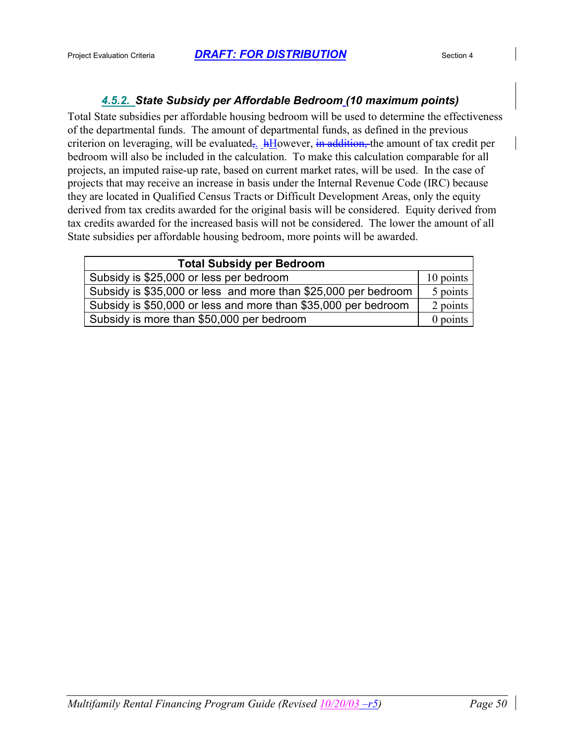### *4.5.2. State Subsidy per Affordable Bedroom (10 maximum points)*

Total State subsidies per affordable housing bedroom will be used to determine the effectiveness of the departmental funds. The amount of departmental funds, as defined in the previous criterion on leveraging, will be evaluated.  $\frac{h}{h}$ However, in addition, the amount of tax credit per bedroom will also be included in the calculation. To make this calculation comparable for all projects, an imputed raise-up rate, based on current market rates, will be used. In the case of projects that may receive an increase in basis under the Internal Revenue Code (IRC) because they are located in Qualified Census Tracts or Difficult Development Areas, only the equity derived from tax credits awarded for the original basis will be considered. Equity derived from tax credits awarded for the increased basis will not be considered. The lower the amount of all State subsidies per affordable housing bedroom, more points will be awarded.

| <b>Total Subsidy per Bedroom</b>                               |            |  |
|----------------------------------------------------------------|------------|--|
| Subsidy is \$25,000 or less per bedroom                        | 10 points  |  |
| Subsidy is \$35,000 or less and more than \$25,000 per bedroom | 5 points   |  |
| Subsidy is \$50,000 or less and more than \$35,000 per bedroom | 2 points   |  |
| Subsidy is more than \$50,000 per bedroom                      | $0$ points |  |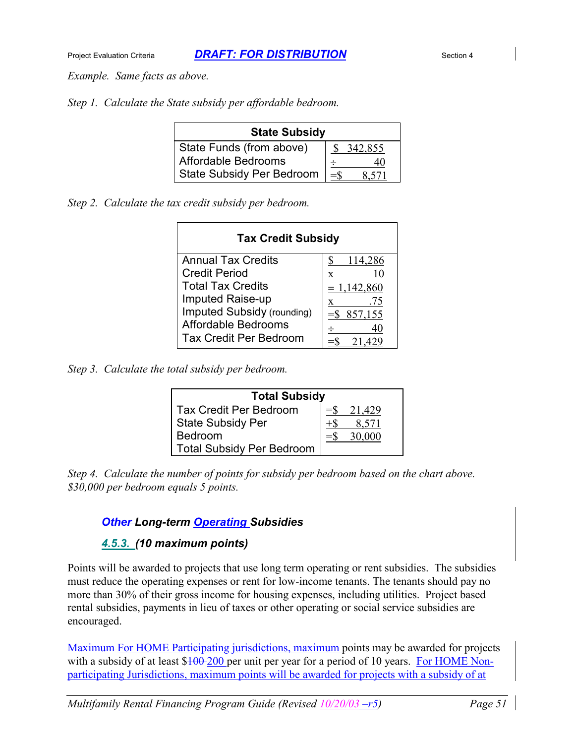*Example. Same facts as above.*

*Step 1. Calculate the State subsidy per affordable bedroom.*

| <b>State Subsidy</b>             |                 |  |
|----------------------------------|-----------------|--|
| State Funds (from above)         | 342,855         |  |
| Affordable Bedrooms              | 40              |  |
| <b>State Subsidy Per Bedroom</b> | $=$ \$<br>8.571 |  |

*Step 2. Calculate the tax credit subsidy per bedroom.*

| <b>Tax Credit Subsidy</b>         |             |  |
|-----------------------------------|-------------|--|
| <b>Annual Tax Credits</b>         | 114,286     |  |
| <b>Credit Period</b>              | 10<br>x     |  |
| <b>Total Tax Credits</b>          | $= 1,142.8$ |  |
| <b>Imputed Raise-up</b>           | .75<br>X    |  |
| <b>Imputed Subsidy (rounding)</b> | 857,155     |  |
| <b>Affordable Bedrooms</b>        |             |  |
| <b>Tax Credit Per Bedroom</b>     |             |  |

*Step 3. Calculate the total subsidy per bedroom.*

| <b>Total Subsidy</b>             |  |        |
|----------------------------------|--|--------|
| <b>Tax Credit Per Bedroom</b>    |  | 21,429 |
| <b>State Subsidy Per</b>         |  | 8,571  |
| Bedroom                          |  | 30,000 |
| <b>Total Subsidy Per Bedroom</b> |  |        |

*Step 4. Calculate the number of points for subsidy per bedroom based on the chart above. \$30,000 per bedroom equals 5 points.*

### *Other Long-term Operating Subsidies*

#### *4.5.3. (10 maximum points)*

Points will be awarded to projects that use long term operating or rent subsidies. The subsidies must reduce the operating expenses or rent for low-income tenants. The tenants should pay no more than 30% of their gross income for housing expenses, including utilities. Project based rental subsidies, payments in lieu of taxes or other operating or social service subsidies are encouraged.

Maximum For HOME Participating jurisdictions, maximum points may be awarded for projects with a subsidy of at least \$100-200 per unit per year for a period of 10 years. For HOME Nonparticipating Jurisdictions, maximum points will be awarded for projects with a subsidy of at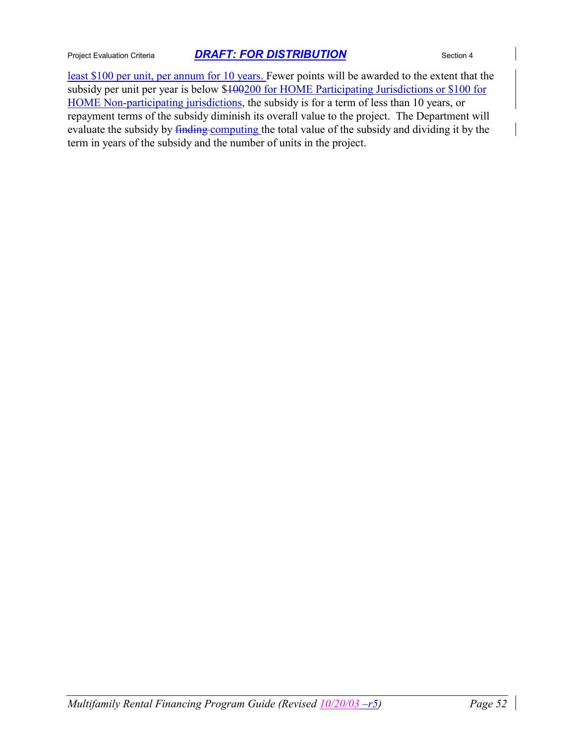least \$100 per unit, per annum for 10 years. Fewer points will be awarded to the extent that the subsidy per unit per year is below \$100200 for HOME Participating Jurisdictions or \$100 for HOME Non-participating jurisdictions, the subsidy is for a term of less than 10 years, or repayment terms of the subsidy diminish its overall value to the project. The Department will evaluate the subsidy by finding computing the total value of the subsidy and dividing it by the term in years of the subsidy and the number of units in the project.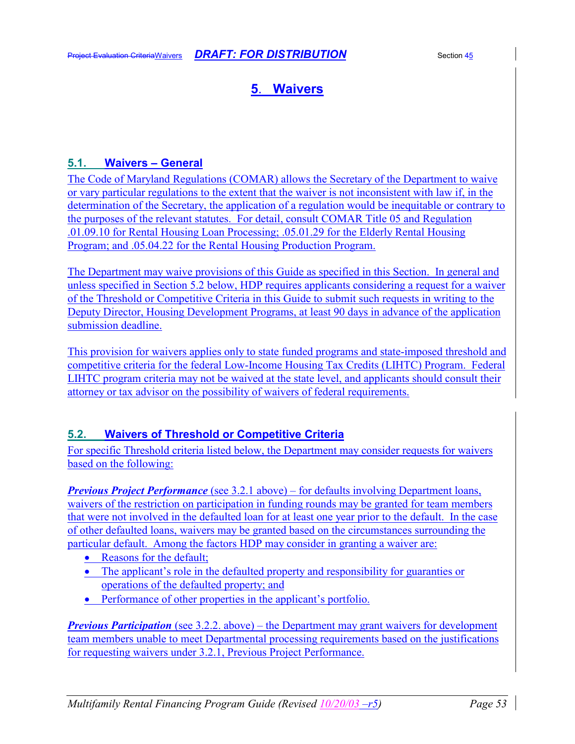## **5**. **Waivers**

#### **5.1. Waivers – General**

The Code of Maryland Regulations (COMAR) allows the Secretary of the Department to waive or vary particular regulations to the extent that the waiver is not inconsistent with law if, in the determination of the Secretary, the application of a regulation would be inequitable or contrary to the purposes of the relevant statutes. For detail, consult COMAR Title 05 and Regulation .01.09.10 for Rental Housing Loan Processing; .05.01.29 for the Elderly Rental Housing Program; and .05.04.22 for the Rental Housing Production Program.

The Department may waive provisions of this Guide as specified in this Section. In general and unless specified in Section 5.2 below, HDP requires applicants considering a request for a waiver of the Threshold or Competitive Criteria in this Guide to submit such requests in writing to the Deputy Director, Housing Development Programs, at least 90 days in advance of the application submission deadline.

This provision for waivers applies only to state funded programs and state-imposed threshold and competitive criteria for the federal Low-Income Housing Tax Credits (LIHTC) Program. Federal LIHTC program criteria may not be waived at the state level, and applicants should consult their attorney or tax advisor on the possibility of waivers of federal requirements.

### **5.2. Waivers of Threshold or Competitive Criteria**

For specific Threshold criteria listed below, the Department may consider requests for waivers based on the following:

*Previous Project Performance* (see 3.2.1 above) – for defaults involving Department loans, waivers of the restriction on participation in funding rounds may be granted for team members that were not involved in the defaulted loan for at least one year prior to the default. In the case of other defaulted loans, waivers may be granted based on the circumstances surrounding the particular default. Among the factors HDP may consider in granting a waiver are:

- Reasons for the default;
- The applicant's role in the defaulted property and responsibility for guaranties or operations of the defaulted property; and
- Performance of other properties in the applicant's portfolio.

*Previous Participation* (see 3.2.2. above) – the Department may grant waivers for development team members unable to meet Departmental processing requirements based on the justifications for requesting waivers under 3.2.1, Previous Project Performance.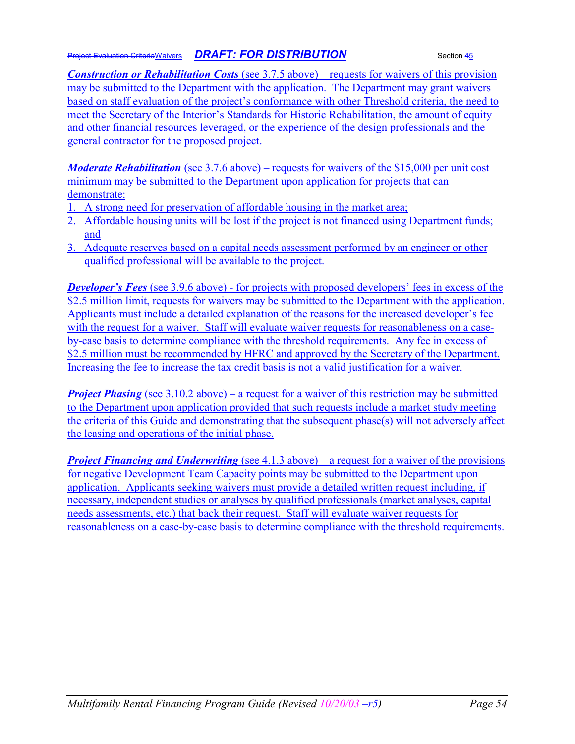*Construction or Rehabilitation Costs* (see 3.7.5 above) – requests for waivers of this provision may be submitted to the Department with the application. The Department may grant waivers based on staff evaluation of the project's conformance with other Threshold criteria, the need to meet the Secretary of the Interior's Standards for Historic Rehabilitation, the amount of equity and other financial resources leveraged, or the experience of the design professionals and the general contractor for the proposed project.

*Moderate Rehabilitation* (see 3.7.6 above) – requests for waivers of the \$15,000 per unit cost minimum may be submitted to the Department upon application for projects that can demonstrate:

- 1. A strong need for preservation of affordable housing in the market area;
- 2. Affordable housing units will be lost if the project is not financed using Department funds; and
- 3. Adequate reserves based on a capital needs assessment performed by an engineer or other qualified professional will be available to the project.

*Developer's Fees* (see 3.9.6 above) - for projects with proposed developers' fees in excess of the \$2.5 million limit, requests for waivers may be submitted to the Department with the application. Applicants must include a detailed explanation of the reasons for the increased developer's fee with the request for a waiver. Staff will evaluate waiver requests for reasonableness on a caseby-case basis to determine compliance with the threshold requirements. Any fee in excess of \$2.5 million must be recommended by HFRC and approved by the Secretary of the Department. Increasing the fee to increase the tax credit basis is not a valid justification for a waiver.

*Project Phasing* (see 3.10.2 above) – a request for a waiver of this restriction may be submitted to the Department upon application provided that such requests include a market study meeting the criteria of this Guide and demonstrating that the subsequent phase(s) will not adversely affect the leasing and operations of the initial phase.

*Project Financing and Underwriting* (see 4.1.3 above) – a request for a waiver of the provisions for negative Development Team Capacity points may be submitted to the Department upon application. Applicants seeking waivers must provide a detailed written request including, if necessary, independent studies or analyses by qualified professionals (market analyses, capital needs assessments, etc.) that back their request. Staff will evaluate waiver requests for reasonableness on a case-by-case basis to determine compliance with the threshold requirements.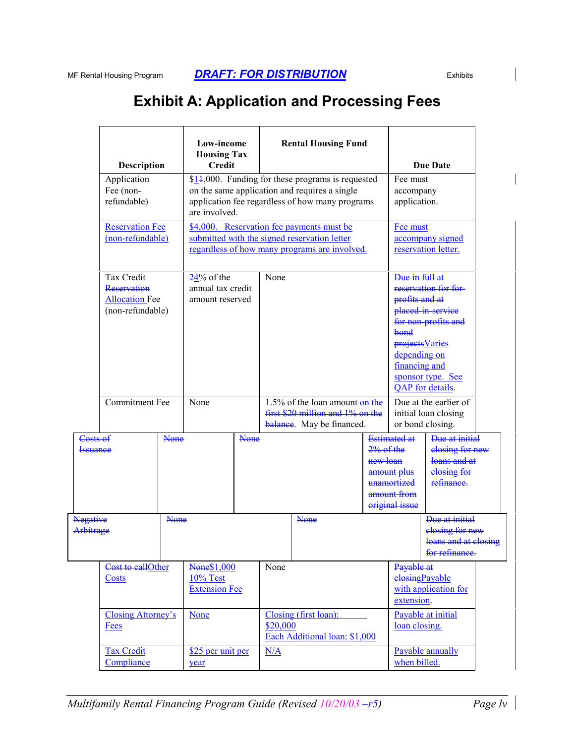# **Exhibit A: Application and Processing Fees**

|                                                | Description<br>Application<br>Fee (non-<br>refundable)<br><b>Reservation Fee</b><br>(non-refundable) |      | Low-income<br><b>Housing Tax</b><br><b>Credit</b><br>are involved.                                                                         |  | <b>Rental Housing Fund</b><br>$$14,000$ . Funding for these programs is requested<br>on the same application and requires a single<br>application fee regardless of how many programs |                                                                                                 |                                                                                                                                               | <b>Due Date</b><br>Fee must<br>accompany<br>application.                                     |                                                                                                           |  |
|------------------------------------------------|------------------------------------------------------------------------------------------------------|------|--------------------------------------------------------------------------------------------------------------------------------------------|--|---------------------------------------------------------------------------------------------------------------------------------------------------------------------------------------|-------------------------------------------------------------------------------------------------|-----------------------------------------------------------------------------------------------------------------------------------------------|----------------------------------------------------------------------------------------------|-----------------------------------------------------------------------------------------------------------|--|
|                                                |                                                                                                      |      | \$4,000. Reservation fee payments must be<br>submitted with the signed reservation letter<br>regardless of how many programs are involved. |  |                                                                                                                                                                                       |                                                                                                 |                                                                                                                                               | Fee must<br>accompany signed<br>reservation letter.                                          |                                                                                                           |  |
|                                                | <b>Tax Credit</b><br><b>Reservation</b><br><b>Allocation Fee</b><br>(non-refundable)                 |      | $24%$ of the<br>annual tax credit<br>amount reserved                                                                                       |  | None                                                                                                                                                                                  |                                                                                                 |                                                                                                                                               | Due in full at<br>profits and at<br>bond<br>projects Varies<br>depending on<br>financing and | reservation for for-<br>placed in service<br>for non-profits and<br>sponsor type. See<br>QAP for details. |  |
|                                                | <b>Commitment Fee</b>                                                                                |      | None                                                                                                                                       |  |                                                                                                                                                                                       | 1.5% of the loan amount-on the<br>first \$20 million and 1% on the<br>balance. May be financed. |                                                                                                                                               |                                                                                              | Due at the earlier of<br>initial loan closing<br>or bond closing.                                         |  |
| Costs of<br><b>None</b><br><del>Issuance</del> |                                                                                                      |      | <b>None</b>                                                                                                                                |  |                                                                                                                                                                                       | $2%$ of the<br>new loan                                                                         | <b>Estimated at</b><br>amount plus<br>unamortized<br>amount from<br>original issue                                                            | Due at initial<br>elosing for new<br>loans and at<br>elosing for<br>refinance.               |                                                                                                           |  |
| <b>Negative</b><br>Arbitrage                   |                                                                                                      | None |                                                                                                                                            |  |                                                                                                                                                                                       | <b>None</b>                                                                                     |                                                                                                                                               |                                                                                              | Due at initial<br>elosing for new<br>loans and at closing<br><del>tor refinance.</del>                    |  |
|                                                | Cost to callOther<br>Costs<br><b>Closing Attorney's</b><br><b>Fees</b>                               |      | None\$1,000<br>10% Test<br><b>Extension Fee</b><br>None<br>\$25 per unit per<br>year                                                       |  | None                                                                                                                                                                                  |                                                                                                 | Payable at<br>elosingPayable<br>with application for<br>extension.<br>Payable at initial<br>loan closing.<br>Payable annually<br>when billed. |                                                                                              |                                                                                                           |  |
|                                                |                                                                                                      |      |                                                                                                                                            |  | Closing (first loan):<br>\$20,000<br>Each Additional loan: \$1,000                                                                                                                    |                                                                                                 |                                                                                                                                               |                                                                                              |                                                                                                           |  |
| <b>Tax Credit</b><br>Compliance                |                                                                                                      |      |                                                                                                                                            |  | N/A                                                                                                                                                                                   |                                                                                                 |                                                                                                                                               |                                                                                              |                                                                                                           |  |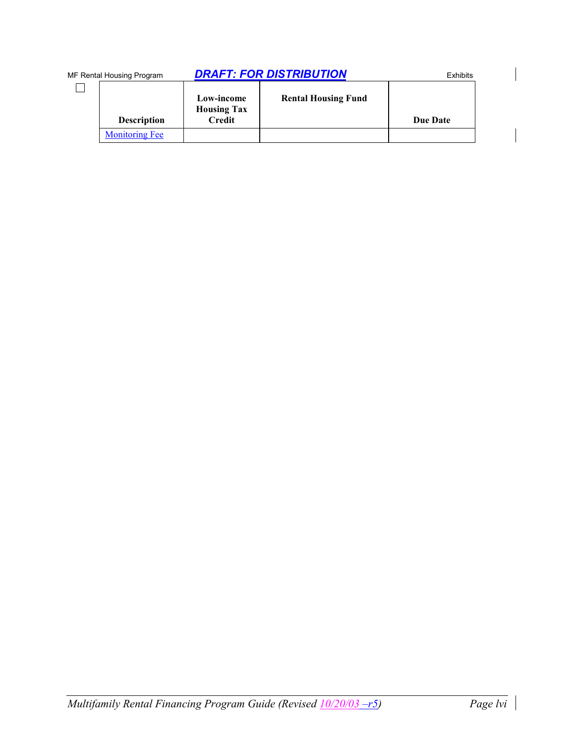| MF Rental Housing Program |                       | <b>DRAFT: FOR DISTRIBUTION</b>                    | <b>Exhibits</b>            |                 |
|---------------------------|-----------------------|---------------------------------------------------|----------------------------|-----------------|
|                           | <b>Description</b>    | Low-income<br><b>Housing Tax</b><br><b>Credit</b> | <b>Rental Housing Fund</b> | <b>Due Date</b> |
|                           | <b>Monitoring Fee</b> |                                                   |                            |                 |

 $\begin{array}{c} \hline \end{array}$ 

 $\begin{array}{c} \hline \end{array}$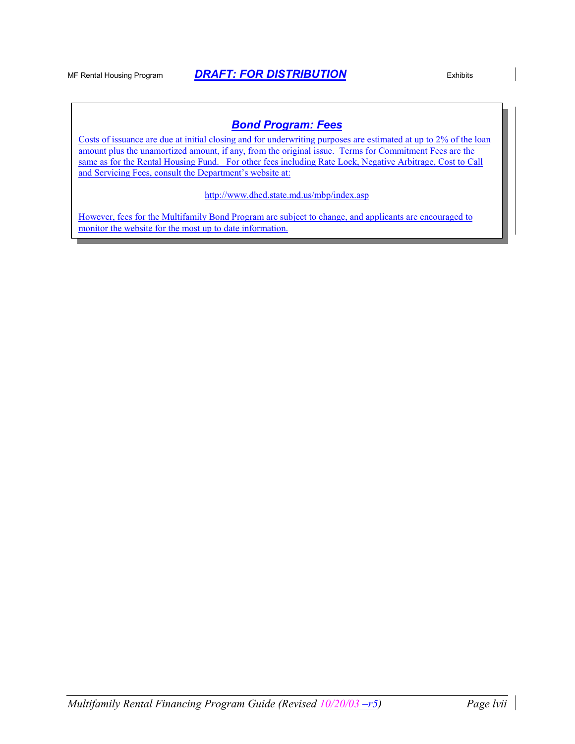### *Bond Program: Fees*

Costs of issuance are due at initial closing and for underwriting purposes are estimated at up to 2% of the loan amount plus the unamortized amount, if any, from the original issue. Terms for Commitment Fees are the same as for the Rental Housing Fund. For other fees including Rate Lock, Negative Arbitrage, Cost to Call and Servicing Fees, consult the Department's website at:

http://www.dhcd.state.md.us/mbp/index.asp

However, fees for the Multifamily Bond Program are subject to change, and applicants are encouraged to monitor the website for the most up to date information.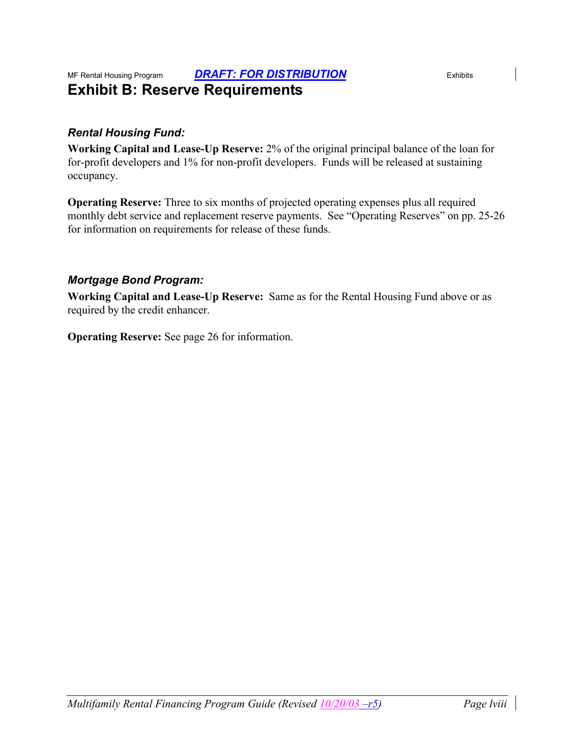### MF Rental Housing Program *DRAFT: FOR DISTRIBUTION* Exhibits **Exhibit B: Reserve Requirements**

### *Rental Housing Fund:*

**Working Capital and Lease-Up Reserve:** 2% of the original principal balance of the loan for for-profit developers and 1% for non-profit developers. Funds will be released at sustaining occupancy.

**Operating Reserve:** Three to six months of projected operating expenses plus all required monthly debt service and replacement reserve payments. See "Operating Reserves" on pp. 25-26 for information on requirements for release of these funds.

### *Mortgage Bond Program:*

**Working Capital and Lease-Up Reserve:** Same as for the Rental Housing Fund above or as required by the credit enhancer.

**Operating Reserve:** See page 26 for information.